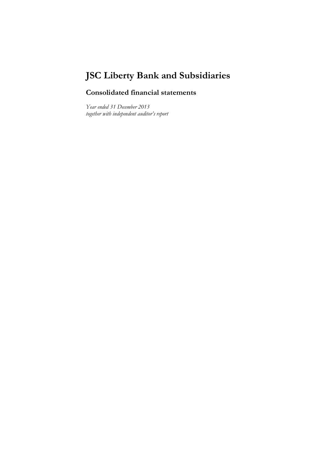# **JSC Liberty Bank and Subsidiaries**

# **Consolidated financial statements**

*Year ended 31 December 2013 together with independent auditor's report*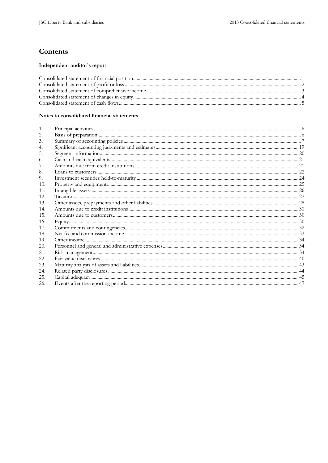# **Contents**

# Independent auditor's report

### Notes to consolidated financial statements

| 1.  |  |
|-----|--|
|     |  |
| 3.  |  |
| 4.  |  |
| .כ  |  |
| 6.  |  |
|     |  |
| 8.  |  |
| 9.  |  |
| 10. |  |
| 11. |  |
| 12. |  |
| 13. |  |
| 14. |  |
| 15. |  |
| 16. |  |
| 17. |  |
| 18. |  |
| 19. |  |
| 20. |  |
| 21. |  |
| 22. |  |
| 23. |  |
| 24. |  |
| 25. |  |
| 26. |  |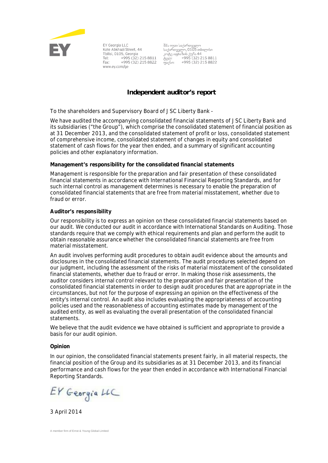

EY Georgia LLC Kote Abkhazi Street, 44 Note Abkhazi Street, 44<br>Tbilisi, 0105, Georgia<br>Tel: +995 (32) 215 8811  $+995(32)$  215 8822 Fax: www.ev.com/ge

# **Independent auditor's report**

To the shareholders and Supervisory Board of JSC Liberty Bank -

We have audited the accompanying consolidated financial statements of JSC Liberty Bank and its subsidiaries ("the Group"), which comprise the consolidated statement of financial position as at 31 December 2013, and the consolidated statement of profit or loss, consolidated statement of comprehensive income, consolidated statement of changes in equity and consolidated statement of cash flows for the year then ended, and a summary of significant accounting policies and other explanatory information.

### *Management's responsibility for the consolidated financial statements*

Management is responsible for the preparation and fair presentation of these consolidated financial statements in accordance with International Financial Reporting Standards, and for such internal control as management determines is necessary to enable the preparation of consolidated financial statements that are free from material misstatement, whether due to fraud or error.

### *Auditor's responsibility*

Our responsibility is to express an opinion on these consolidated financial statements based on our audit. We conducted our audit in accordance with International Standards on Auditing. Those standards require that we comply with ethical requirements and plan and perform the audit to obtain reasonable assurance whether the consolidated financial statements are free from material misstatement.

An audit involves performing audit procedures to obtain audit evidence about the amounts and disclosures in the consolidated financial statements. The audit procedures selected depend on our judgment, including the assessment of the risks of material misstatement of the consolidated financial statements, whether due to fraud or error. In making those risk assessments, the auditor considers internal control relevant to the preparation and fair presentation of the consolidated financial statements in order to design audit procedures that are appropriate in the circumstances, but not for the purpose of expressing an opinion on the effectiveness of the entity's internal control. An audit also includes evaluating the appropriateness of accounting policies used and the reasonableness of accounting estimates made by management of the audited entity, as well as evaluating the overall presentation of the consolidated financial statements.

We believe that the audit evidence we have obtained is sufficient and appropriate to provide a basis for our audit opinion.

#### *Opinion*

In our opinion, the consolidated financial statements present fairly, in all material respects, the financial position of the Group and its subsidiaries as at 31 December 2013, and its financial performance and cash flows for the year then ended in accordance with International Financial Reporting Standards.

EY Georgia LLC

3 April 2014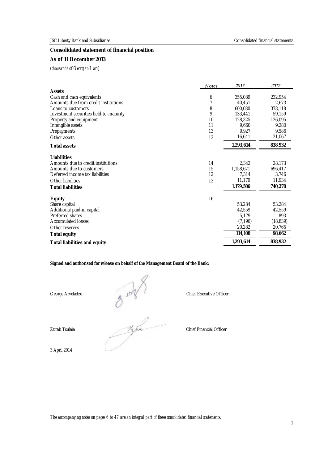# **Consolidated statement of financial position**

### **As of 31 December 2013**

*(thousands of Georgian Lari)*

|                                        | Notes | 2013      | 2012      |
|----------------------------------------|-------|-----------|-----------|
| Assets                                 |       |           |           |
| Cash and cash equivalents              | 6     | 355,089   | 232,954   |
| Amounts due from credit institutions   | 7     | 40.451    | 2,673     |
| Loans to customers                     | 8     | 600.080   | 378,118   |
| Investment securities held-to-maturity | 9     | 133,441   | 59,159    |
| Property and equipment                 | 10    | 128,325   | 126,095   |
| Intangible assets                      | 11    | 9.660     | 9,280     |
| Prepayments                            | 13    | 9,927     | 9,586     |
| Other assets                           | 13    | 16,641    | 21,067    |
| <b>Total assets</b>                    |       | 1,293,614 | 838,932   |
| Liabilities                            |       |           |           |
| Amounts due to credit institutions     | 14    | 2,342     | 28,173    |
| Amounts due to customers               | 15    | 1,158,671 | 696,417   |
| Deferred income tax liabilities        | 12    | 7,314     | 3,746     |
| Other liabilities                      | 13    | 11,179    | 11,934    |
| <b>Total liabilities</b>               |       | 1,179,506 | 740,270   |
| Equity                                 | 16    |           |           |
| Share capital                          |       | 53,284    | 53,284    |
| Additional paid-in capital             |       | 42,559    | 42,559    |
| Preferred shares                       |       | 5,179     | 893       |
| <b>Accumulated losses</b>              |       | (7, 196)  | (18, 839) |
| Other reserves                         |       | 20,282    | 20,765    |
| Total equity                           |       | 114,108   | 98,662    |
| Total liabilities and equity           |       | 1,293,614 | 838,932   |

**Signed and authorised for release on behalf of the Management Board of the Bank:**

George Arveladze Chief Executive Officer Zurab Tsulaia Chief Financial Officer

3 April 2014

*The accompanying notes on pages 6 to 47 are an integral part of these consolidated financial statements.*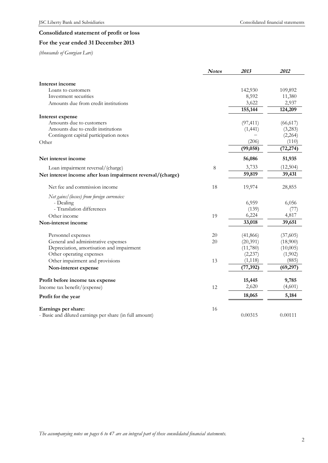# **Consolidated statement of profit or loss**

# **For the year ended 31 December 2013**

|                                                             | <b>Notes</b> | 2013      | 2012      |
|-------------------------------------------------------------|--------------|-----------|-----------|
| Interest income                                             |              |           |           |
| Loans to customers                                          |              | 142,930   | 109,892   |
| Investment securities                                       |              | 8,592     | 11,380    |
| Amounts due from credit institutions                        |              | 3,622     | 2,937     |
|                                                             |              | 155,144   | 124,209   |
| Interest expense                                            |              |           |           |
| Amounts due to customers                                    |              | (97, 411) | (66, 617) |
| Amounts due to credit institutions                          |              | (1, 441)  | (3,283)   |
| Contingent capital participation notes                      |              |           | (2,264)   |
| Other                                                       |              | (206)     | (110)     |
|                                                             |              | (99, 058) | (72, 274) |
| Net interest income                                         |              | 56,086    | 51,935    |
| Loan impairment reversal/(charge)                           | 8            | 3,733     | (12,504)  |
| Net interest income after loan impairment reversal/(charge) |              | 59,819    | 39,431    |
| Net fee and commission income                               | 18           | 19,974    | 28,855    |
| Net gains/ (losses) from foreign currencies:                |              |           |           |
| - Dealing                                                   |              | 6,959     | 6,056     |
| - Translation differences                                   |              | (139)     | (77)      |
| Other income                                                | 19           | 6,224     | 4,817     |
| Non-interest income                                         |              | 33,018    | 39,651    |
| Personnel expenses                                          | 20           | (41, 866) | (37,605)  |
| General and administrative expenses                         | 20           | (20, 391) | (18,900)  |
| Depreciation, amortisation and impairment                   |              | (11,780)  | (10,005)  |
| Other operating expenses                                    |              | (2,237)   | (1,902)   |
| Other impairment and provisions                             | 13           | (1, 118)  | (885)     |
| Non-interest expense                                        |              | (77, 392) | (69, 297) |
| Profit before income tax expense                            |              | 15,445    | 9,785     |
| Income tax benefit/(expense)                                | 12           | 2,620     | (4,601)   |
| Profit for the year                                         |              | 18,065    | 5,184     |
| Earnings per share:                                         | 16           |           |           |
| - Basic and diluted earnings per share (in full amount)     |              | 0.00315   | 0.00111   |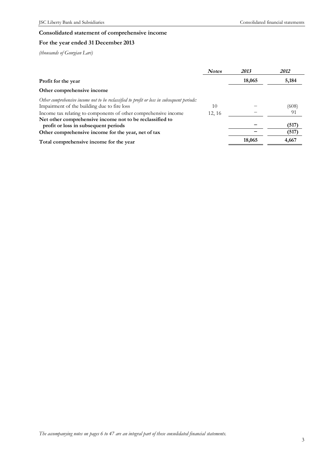# **Consolidated statement of comprehensive income**

# **For the year ended 31 December 2013**

|                                                                                                                                           | <b>Notes</b> | 2013   | 2012  |
|-------------------------------------------------------------------------------------------------------------------------------------------|--------------|--------|-------|
| Profit for the year                                                                                                                       |              | 18,065 | 5,184 |
| Other comprehensive income                                                                                                                |              |        |       |
| Other comprehensive income not to be reclassified to profit or loss in subsequent periods:<br>Impairment of the building due to fire loss | 10           |        | (608) |
| Income tax relating to components of other comprehensive income<br>12, 16                                                                 |              |        | 91    |
| Net other comprehensive income not to be reclassified to<br>profit or loss in subsequent periods                                          |              |        | (517) |
| Other comprehensive income for the year, net of tax                                                                                       |              |        | (517) |
| Total comprehensive income for the year                                                                                                   |              | 18,065 | 4,667 |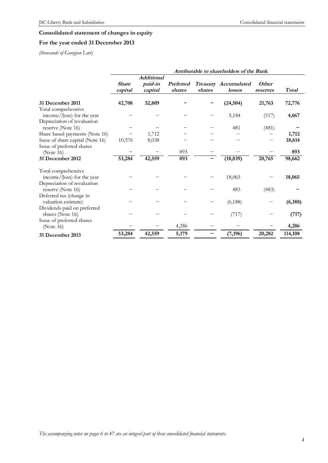# **Consolidated statement of changes in equity**

# **For the year ended 31 December 2013**

|                                  |                         |                                         |                            |        | Attributable to shareholders of the Bank |                          |              |
|----------------------------------|-------------------------|-----------------------------------------|----------------------------|--------|------------------------------------------|--------------------------|--------------|
|                                  | <b>Share</b><br>capital | <b>Additional</b><br>paid-in<br>capital | <b>Preferred</b><br>shares | shares | Treasury Accumulated<br>losses           | <i>Other</i><br>reserves | <b>Total</b> |
| 31 December 2011                 | 42,708                  | 32,809                                  |                            |        | (24, 504)                                | 21,763                   | 72,776       |
| Total comprehensive              |                         |                                         |                            |        |                                          |                          |              |
| income/(loss) for the year       |                         |                                         |                            |        | 5,184                                    | (517)                    | 4,667        |
| Depreciation of revaluation      |                         |                                         |                            |        |                                          |                          |              |
| reserve (Note 16)                |                         |                                         |                            |        | 481                                      | (481)                    |              |
| Share based payments (Note 16)   |                         | 1,712                                   |                            |        |                                          |                          | 1,712        |
| Issue of share capital (Note 16) | 10,576                  | 8,038                                   |                            |        |                                          |                          | 18,614       |
| Issue of preferred shares        |                         |                                         |                            |        |                                          |                          |              |
| (Note $16$ )                     |                         |                                         | 893                        |        |                                          |                          | 893          |
| 31 December 2012                 | 53,284                  | 42,559                                  | 893                        |        | (18, 839)                                | 20,765                   | 98,662       |
| Total comprehensive              |                         |                                         |                            |        |                                          |                          |              |
| income/(loss) for the year       |                         |                                         |                            |        | 18,065                                   |                          | 18,065       |
| Depreciation of revaluation      |                         |                                         |                            |        |                                          |                          |              |
| reserve (Note 16)                |                         |                                         |                            |        | 483                                      | (483)                    |              |
| Deferred tax (change in          |                         |                                         |                            |        |                                          |                          |              |
| valuation estimate)              |                         |                                         |                            |        | (6,188)                                  |                          | (6, 188)     |
| Dividends paid on preferred      |                         |                                         |                            |        |                                          |                          |              |
| shares (Note 16)                 |                         |                                         |                            |        | (717)                                    |                          | (717)        |
| Issue of preferred shares        |                         |                                         |                            |        |                                          |                          |              |
| (Note $16$ )                     |                         |                                         | 4,286                      |        |                                          |                          | 4,286        |
| 31 December 2013                 | 53,284                  | 42,559                                  | 5,179                      |        | (7, 196)                                 | 20,282                   | 114,108      |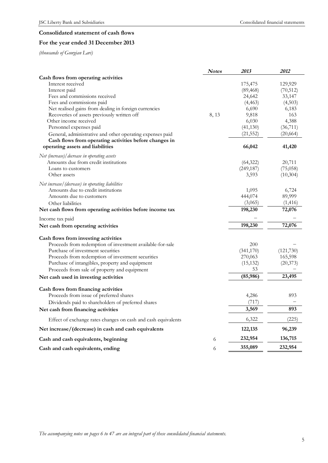# **Consolidated statement of cash flows**

# **For the year ended 31 December 2013**

|                                                               | <b>Notes</b> | 2013       | 2012      |
|---------------------------------------------------------------|--------------|------------|-----------|
| Cash flows from operating activities                          |              |            |           |
| Interest received                                             |              | 175,475    | 129,929   |
| Interest paid                                                 |              | (89, 468)  | (70, 512) |
| Fees and commissions received                                 |              | 24,642     | 33,147    |
| Fees and commissions paid                                     |              | (4, 463)   | (4,503)   |
| Net realised gains from dealing in foreign currencies         |              | 6,690      | 6,183     |
| Recoveries of assets previously written off                   | 8,13         | 9,818      | 163       |
| Other income received                                         |              | 6,030      | 4,388     |
| Personnel expenses paid                                       |              | (41, 130)  | (36,711)  |
| General, administrative and other operating expenses paid     |              | (21, 552)  | (20, 664) |
| Cash flows from operating activities before changes in        |              |            |           |
| operating assets and liabilities                              |              | 66,042     | 41,420    |
|                                                               |              |            |           |
| Net (increase) decrease in operating assets                   |              |            |           |
| Amounts due from credit institutions                          |              | (64, 322)  | 20,711    |
| Loans to customers                                            |              | (249, 187) | (75,058)  |
| Other assets                                                  |              | 3,593      | (10,304)  |
| Net increase/ (decrease) in operating liabilities             |              |            |           |
| Amounts due to credit institutions                            |              | 1,095      | 6,724     |
| Amounts due to customers                                      |              | 444,074    | 89,999    |
| Other liabilities                                             |              | (3,065)    | (1, 416)  |
| Net cash flows from operating activities before income tax    |              | 198,230    | 72,076    |
| Income tax paid                                               |              |            |           |
| Net cash from operating activities                            |              | 198,230    | 72,076    |
| Cash flows from investing activities                          |              |            |           |
| Proceeds from redemption of investment available-for-sale     |              | 200        |           |
| Purchase of investment securities                             |              | (341, 170) | (121,730) |
| Proceeds from redemption of investment securities             |              | 270,063    | 165,598   |
| Purchase of intangibles, property and equipment               |              | (15, 132)  | (20, 373) |
|                                                               |              | 53         |           |
| Proceeds from sale of property and equipment                  |              | (85,986)   | 23,495    |
| Net cash used in investing activities                         |              |            |           |
| Cash flows from financing activities                          |              |            |           |
| Proceeds from issue of preferred shares                       |              | 4,286      | 893       |
| Dividends paid to shareholders of preferred shares            |              | (717)      |           |
| Net cash from financing activities                            |              | 3,569      | 893       |
|                                                               |              |            |           |
| Effect of exchange rates changes on cash and cash equivalents |              | 6,322      | (225)     |
| Net increase/(decrease) in cash and cash equivalents          |              | 122,135    | 96,239    |
| Cash and cash equivalents, beginning                          | 6            | 232,954    | 136,715   |
| Cash and cash equivalents, ending                             | 6            | 355,089    | 232,954   |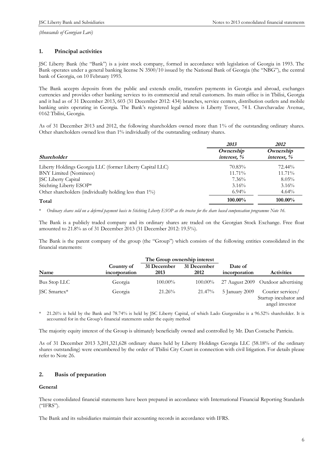### **1. Principal activities**

JSC Liberty Bank (the "Bank") is a joint stock company, formed in accordance with legislation of Georgia in 1993. The Bank operates under a general banking license N 3500/10 issued by the National Bank of Georgia (the "NBG"), the central bank of Georgia, on 10 February 1993.

The Bank accepts deposits from the public and extends credit, transfers payments in Georgia and abroad, exchanges currencies and provides other banking services to its commercial and retail customers. Its main office is in Tbilisi, Georgia and it had as of 31 December 2013, 603 (31 December 2012: 434) branches, service centers, distribution outlets and mobile banking units operating in Georgia. The Bank's registered legal address is Liberty Tower, 74 I. Chavchavadze Avenue, 0162 Tbilisi, Georgia.

As of 31 December 2013 and 2012, the following shareholders owned more than 1% of the outstanding ordinary shares. Other shareholders owned less than 1% individually of the outstanding ordinary shares.

|                                                           | 2013                     | 2012                       |
|-----------------------------------------------------------|--------------------------|----------------------------|
| <i><b>Shareholder</b></i>                                 | Ownership<br>interest, % | Ownership<br>interest, $%$ |
| Liberty Holdings Georgia LLC (former Liberty Capital LLC) | 70.83%                   | 72.44%                     |
| <b>BNY</b> Limited (Nominees)                             | 11.71%                   | 11.71%                     |
| JSC Liberty Capital                                       | $7.36\%$                 | $8.05\%$                   |
| Stichting Liberty ESOP*                                   | 3.16%                    | 3.16%                      |
| Other shareholders (individually holding less than 1%)    | $6.94\%$                 | 4.64%                      |
| Total                                                     | $100.00\%$               | 100.00%                    |

\* *Ordinary shares sold on a deferred payment basis to Stichting Liberty ESOP as the trustee for the share based compensation programme Note 16.*

The Bank is a publicly traded company and its ordinary shares are traded on the Georgian Stock Exchange. Free float amounted to 21.8% as of 31 December 2013 (31 December 2012: 19.5%).

The Bank is the parent company of the group (the "Group") which consists of the following entities consolidated in the financial statements:

|              |                             |                     | The Group ownership interest |                          |                                                              |
|--------------|-----------------------------|---------------------|------------------------------|--------------------------|--------------------------------------------------------------|
| Name         | Country of<br>incorporation | 31 December<br>2013 | 31 December<br>2012          | Date of<br>incorporation | Activities                                                   |
| Bus Stop LLC | Georgia                     | $100.00\%$          | $100.00\%$                   |                          | 27 August 2009 Outdoor advertising                           |
| ISC Smartex* | Georgia                     | $21.26\%$           | 21.47%                       | 5 January 2009           | Courier services/<br>Startup incubator and<br>angel investor |

\* 21.26% is held by the Bank and 78.74% is held by JSC Liberty Capital, of which Lado Gurgenidze is a 96.52% shareholder. It is accounted for in the Group's financial statements under the equity method

The majority equity interest of the Group is ultimately beneficially owned and controlled by Mr. Dan Costache Patriciu.

As of 31 December 2013 3,201,321,628 ordinary shares held by Liberty Holdings Georgia LLC (58.18% of the ordinary shares outstanding) were encumbered by the order of Tbilisi City Court in connection with civil litigation. For details please refer to Note 26.

# **2. Basis of preparation**

### **General**

These consolidated financial statements have been prepared in accordance with International Financial Reporting Standards ("IFRS").

The Bank and its subsidiaries maintain their accounting records in accordance with IFRS.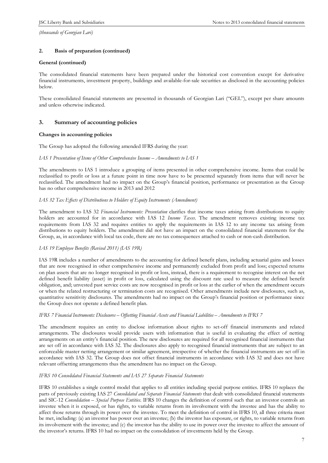### **2. Basis of preparation (continued)**

### **General (continued)**

The consolidated financial statements have been prepared under the historical cost convention except for derivative financial instruments, investment property, buildings and available-for-sale securities as disclosed in the accounting policies below.

These consolidated financial statements are presented in thousands of Georgian Lari ("GEL"), except per share amounts and unless otherwise indicated.

### **3. Summary of accounting policies**

### **Changes in accounting policies**

The Group has adopted the following amended IFRS during the year:

### *IAS 1 Presentation of Items of Other Comprehensive Income – Amendments to IAS 1*

The amendments to IAS 1 introduce a grouping of items presented in other comprehensive income. Items that could be reclassified to profit or loss at a future point in time now have to be presented separately from items that will never be reclassified. The amendment had no impact on the Group's financial position, performance or presentation as the Group has no other comprehensive income in 2013 and 2012

### *IAS 32 Tax Effects of Distributions to Holders of Equity Instruments (Amendment)*

The amendment to IAS 32 *Financial Instruments: Presentation* clarifies that income taxes arising from distributions to equity holders are accounted for in accordance with IAS 12 *Income Taxes*. The amendment removes existing income tax requirements from IAS 32 and requires entities to apply the requirements in IAS 12 to any income tax arising from distributions to equity holders. The amendment did not have an impact on the consolidated financial statements for the Group, as, in accordance with local tax code, there are no tax consequences attached to cash or non-cash distribution.

### *IAS 19 Employee Benefits (Revised 2011) (IAS 19R)*

IAS 19R includes a number of amendments to the accounting for defined benefit plans, including actuarial gains and losses that are now recognised in other comprehensive income and permanently excluded from profit and loss; expected returns on plan assets that are no longer recognised in profit or loss, instead, there is a requirement to recognise interest on the net defined benefit liability (asset) in profit or loss, calculated using the discount rate used to measure the defined benefit obligation, and; unvested past service costs are now recognised in profit or loss at the earlier of when the amendment occurs or when the related restructuring or termination costs are recognised. Other amendments include new disclosures, such as, quantitative sensitivity disclosures. The amendments had no impact on the Group's financial position or performance since the Group does not operate a defined benefit plan.

### *IFRS 7 Financial Instruments: Disclosures – Offsetting Financial Assets and Financial Liabilities – Amendments to IFRS 7*

The amendment requires an entity to disclose information about rights to set-off financial instruments and related arrangements. The disclosures would provide users with information that is useful in evaluating the effect of netting arrangements on an entity's financial position. The new disclosures are required for all recognised financial instruments that are set off in accordance with IAS 32. The disclosures also apply to recognised financial instruments that are subject to an enforceable master netting arrangement or similar agreement, irrespective of whether the financial instruments are set off in accordance with IAS 32. The Group does not offset financial instruments in accordance with IAS 32 and does not have relevant offsetting arrangements thus the amendment has no impact on the Group.

#### *IFRS 10 Consolidated Financial Statements and IAS 27 Separate Financial Statements*

IFRS 10 establishes a single control model that applies to all entities including special purpose entities. IFRS 10 replaces the parts of previously existing IAS 27 *Consolidated and Separate Financial Statements* that dealt with consolidated financial statements and SIC-12 *Consolidation – Special Purpose Entities*. IFRS 10 changes the definition of control such that an investor controls an investee when it is exposed, or has rights, to variable returns from its involvement with the investee and has the ability to affect those returns through its power over the investee. To meet the definition of control in IFRS 10, all three criteria must be met, including: (a) an investor has power over an investee; (b) the investor has exposure, or rights, to variable returns from its involvement with the investee; and (c) the investor has the ability to use its power over the investee to affect the amount of the investor's returns. IFRS 10 had no impact on the consolidation of investments held by the Group.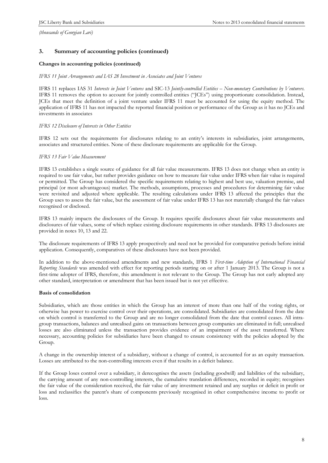# **3. Summary of accounting policies (continued)**

### **Changes in accounting policies (continued)**

#### *IFRS 11 Joint Arrangements and IAS 28 Investment in Associates and Joint Ventures*

IFRS 11 replaces IAS 31 *Interests in Joint Ventures* and SIC-13 *Jointly-controlled Entities – Non-monetary Contributions by Venturers*. IFRS 11 removes the option to account for jointly controlled entities ("JCEs") using proportionate consolidation. Instead, JCEs that meet the definition of a joint venture under IFRS 11 must be accounted for using the equity method. The application of IFRS 11 has not impacted the reported financial position or performance of the Group as it has no JCEs and investments in associates

### *IFRS 12 Disclosure of Interests in Other Entities*

IFRS 12 sets out the requirements for disclosures relating to an entity's interests in subsidiaries, joint arrangements, associates and structured entities. None of these disclosure requirements are applicable for the Group.

### *IFRS 13 Fair Value Measurement*

IFRS 13 establishes a single source of guidance for all fair value measurements. IFRS 13 does not change when an entity is required to use fair value, but rather provides guidance on how to measure fair value under IFRS when fair value is required or permitted. The Group has considered the specific requirements relating to highest and best use, valuation premise, and principal (or most advantageous) market. The methods, assumptions, processes and procedures for determining fair value were revisited and adjusted where applicable. The resulting calculations under IFRS 13 affected the principles that the Group uses to assess the fair value, but the assessment of fair value under IFRS 13 has not materially changed the fair values recognised or disclosed.

IFRS 13 mainly impacts the disclosures of the Group. It requires specific disclosures about fair value measurements and disclosures of fair values, some of which replace existing disclosure requirements in other standards. IFRS 13 disclosures are provided in notes 10, 13 and 22.

The disclosure requirements of IFRS 13 apply prospectively and need not be provided for comparative periods before initial application. Consequently, comparatives of these disclosures have not been provided.

In addition to the above-mentioned amendments and new standards, IFRS 1 *First-time Adoption of International Financial Reporting Standards* was amended with effect for reporting periods starting on or after 1 January 2013. The Group is not a first-time adopter of IFRS, therefore, this amendment is not relevant to the Group. The Group has not early adopted any other standard, interpretation or amendment that has been issued but is not yet effective.

#### **Basis of consolidation**

Subsidiaries, which are those entities in which the Group has an interest of more than one half of the voting rights, or otherwise has power to exercise control over their operations, are consolidated. Subsidiaries are consolidated from the date on which control is transferred to the Group and are no longer consolidated from the date that control ceases. All intragroup transactions, balances and unrealised gains on transactions between group companies are eliminated in full; unrealised losses are also eliminated unless the transaction provides evidence of an impairment of the asset transferred. Where necessary, accounting policies for subsidiaries have been changed to ensure consistency with the policies adopted by the Group.

A change in the ownership interest of a subsidiary, without a change of control, is accounted for as an equity transaction. Losses are attributed to the non-controlling interests even if that results in a deficit balance.

If the Group loses control over a subsidiary, it derecognises the assets (including goodwill) and liabilities of the subsidiary, the carrying amount of any non-controlling interests, the cumulative translation differences, recorded in equity; recognises the fair value of the consideration received, the fair value of any investment retained and any surplus or deficit in profit or loss and reclassifies the parent's share of components previously recognised in other comprehensive income to profit or loss.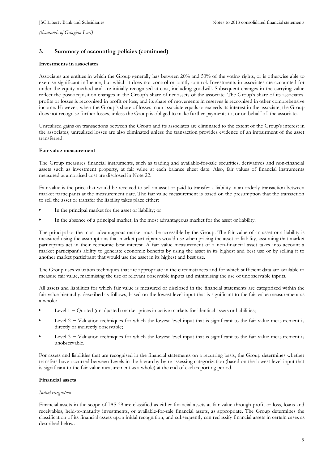### **3. Summary of accounting policies (continued)**

#### **Investments in associates**

Associates are entities in which the Group generally has between 20% and 50% of the voting rights, or is otherwise able to exercise significant influence, but which it does not control or jointly control. Investments in associates are accounted for under the equity method and are initially recognised at cost, including goodwill. Subsequent changes in the carrying value reflect the post-acquisition changes in the Group's share of net assets of the associate. The Group's share of its associates' profits or losses is recognised in profit or loss, and its share of movements in reserves is recognised in other comprehensive income. However, when the Group's share of losses in an associate equals or exceeds its interest in the associate, the Group does not recognise further losses, unless the Group is obliged to make further payments to, or on behalf of, the associate.

Unrealised gains on transactions between the Group and its associates are eliminated to the extent of the Group's interest in the associates; unrealised losses are also eliminated unless the transaction provides evidence of an impairment of the asset transferred.

### **Fair value measurement**

The Group measures financial instruments, such as trading and available-for-sale securities, derivatives and non-financial assets such as investment property, at fair value at each balance sheet date. Also, fair values of financial instruments measured at amortised cost are disclosed in Note 22.

Fair value is the price that would be received to sell an asset or paid to transfer a liability in an orderly transaction between market participants at the measurement date. The fair value measurement is based on the presumption that the transaction to sell the asset or transfer the liability takes place either:

- In the principal market for the asset or liability; or
- In the absence of a principal market, in the most advantageous market for the asset or liability.

The principal or the most advantageous market must be accessible by the Group. The fair value of an asset or a liability is measured using the assumptions that market participants would use when pricing the asset or liability, assuming that market participants act in their economic best interest. A fair value measurement of a non-financial asset takes into account a market participant's ability to generate economic benefits by using the asset in its highest and best use or by selling it to another market participant that would use the asset in its highest and best use.

The Group uses valuation techniques that are appropriate in the circumstances and for which sufficient data are available to measure fair value, maximising the use of relevant observable inputs and minimising the use of unobservable inputs.

All assets and liabilities for which fair value is measured or disclosed in the financial statements are categorized within the fair value hierarchy, described as follows, based on the lowest level input that is significant to the fair value measurement as a whole:

- Level 1 − Quoted (unadjusted) market prices in active markets for identical assets or liabilities;
- Level 2 − Valuation techniques for which the lowest level input that is significant to the fair value measurement is directly or indirectly observable;
- Level 3 − Valuation techniques for which the lowest level input that is significant to the fair value measurement is unobservable.

For assets and liabilities that are recognised in the financial statements on a recurring basis, the Group determines whether transfers have occurred between Levels in the hierarchy by re-assessing categorization (based on the lowest level input that is significant to the fair value measurement as a whole) at the end of each reporting period.

### **Financial assets**

### *Initial recognition*

Financial assets in the scope of IAS 39 are classified as either financial assets at fair value through profit or loss, loans and receivables, held-to-maturity investments, or available-for-sale financial assets, as appropriate. The Group determines the classification of its financial assets upon initial recognition, and subsequently can reclassify financial assets in certain cases as described below.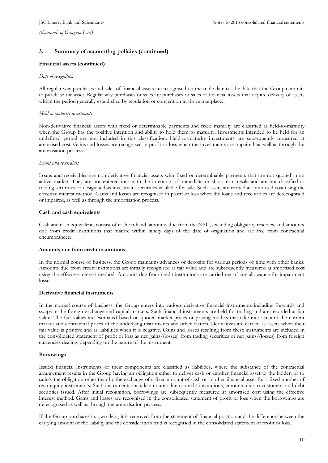# **3. Summary of accounting policies (continued)**

### **Financial assets (continued)**

#### *Date of recognition*

All regular way purchases and sales of financial assets are recognised on the trade date i.e. the date that the Group commits to purchase the asset. Regular way purchases or sales are purchases or sales of financial assets that require delivery of assets within the period generally established by regulation or convention in the marketplace.

### *Held-to-maturity investments*

Non-derivative financial assets with fixed or determinable payments and fixed maturity are classified as held-to-maturity when the Group has the positive intention and ability to hold them to maturity. Investments intended to be held for an undefined period are not included in this classification. Held-to-maturity investments are subsequently measured at amortised cost. Gains and losses are recognised in profit or loss when the investments are impaired, as well as through the amortisation process.

### *Loans and receivables*

Loans and receivables are non-derivative financial assets with fixed or determinable payments that are not quoted in an active market. They are not entered into with the intention of immediate or short-term resale and are not classified as trading securities or designated as investment securities available-for-sale. Such assets are carried at amortised cost using the effective interest method. Gains and losses are recognised in profit or loss when the loans and receivables are derecognised or impaired, as well as through the amortisation process.

### **Cash and cash equivalents**

Cash and cash equivalents consist of cash on hand, amounts due from the NBG, excluding obligatory reserves, and amounts due from credit institutions that mature within ninety days of the date of origination and are free from contractual encumbrances.

#### **Amounts due from credit institutions**

In the normal course of business, the Group maintains advances or deposits for various periods of time with other banks. Amounts due from credit institutions are initially recognised at fair value and are subsequently measured at amortised cost using the effective interest method. Amounts due from credit institutions are carried net of any allowance for impairment losses.

#### **Derivative financial instruments**

In the normal course of business, the Group enters into various derivative financial instruments including forwards and swaps in the foreign exchange and capital markets. Such financial instruments are held for trading and are recorded at fair value. The fair values are estimated based on quoted market prices or pricing models that take into account the current market and contractual prices of the underlying instruments and other factors. Derivatives are carried as assets when their fair value is positive and as liabilities when it is negative. Gains and losses resulting from these instruments are included in the consolidated statement of profit or loss as net gains/(losses) from trading securities or net gains/(losses) from foreign currencies dealing, depending on the nature of the instrument.

#### **Borrowings**

Issued financial instruments or their components are classified as liabilities, where the substance of the contractual arrangement results in the Group having an obligation either to deliver cash or another financial asset to the holder, or to satisfy the obligation other than by the exchange of a fixed amount of cash or another financial asset for a fixed number of own equity instruments. Such instruments include amounts due to credit institutions, amounts due to customers and debt securities issued. After initial recognition, borrowings are subsequently measured at amortised cost using the effective interest method. Gains and losses are recognised in the consolidated statement of profit or loss when the borrowings are derecognised as well as through the amortisation process.

If the Group purchases its own debt, it is removed from the statement of financial position and the difference between the carrying amount of the liability and the consideration paid is recognised in the consolidated statement of profit or loss.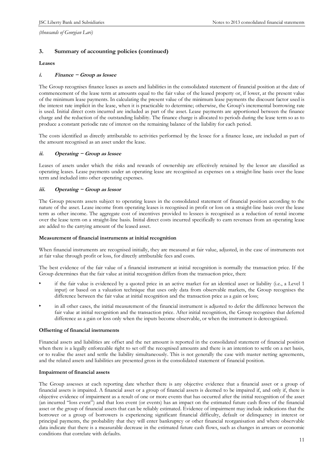# **3. Summary of accounting policies (continued)**

### **Leases**

### **i. Finance − Group as lessee**

The Group recognises finance leases as assets and liabilities in the consolidated statement of financial position at the date of commencement of the lease term at amounts equal to the fair value of the leased property or, if lower, at the present value of the minimum lease payments. In calculating the present value of the minimum lease payments the discount factor used is the interest rate implicit in the lease, when it is practicable to determine; otherwise, the Group's incremental borrowing rate is used. Initial direct costs incurred are included as part of the asset. Lease payments are apportioned between the finance charge and the reduction of the outstanding liability. The finance charge is allocated to periods during the lease term so as to produce a constant periodic rate of interest on the remaining balance of the liability for each period.

The costs identified as directly attributable to activities performed by the lessee for a finance lease, are included as part of the amount recognised as an asset under the lease.

### **ii. Operating − Group as lessee**

Leases of assets under which the risks and rewards of ownership are effectively retained by the lessor are classified as operating leases. Lease payments under an operating lease are recognised as expenses on a straight-line basis over the lease term and included into other operating expenses.

### **iii. Operating − Group as lessor**

The Group presents assets subject to operating leases in the consolidated statement of financial position according to the nature of the asset. Lease income from operating leases is recognised in profit or loss on a straight-line basis over the lease term as other income. The aggregate cost of incentives provided to lessees is recognised as a reduction of rental income over the lease term on a straight-line basis. Initial direct costs incurred specifically to earn revenues from an operating lease are added to the carrying amount of the leased asset.

#### **Measurement of financial instruments at initial recognition**

When financial instruments are recognised initially, they are measured at fair value, adjusted, in the case of instruments not at fair value through profit or loss, for directly attributable fees and costs.

The best evidence of the fair value of a financial instrument at initial recognition is normally the transaction price. If the Group determines that the fair value at initial recognition differs from the transaction price, then:

- if the fair value is evidenced by a quoted price in an active market for an identical asset or liability (i.e., a Level 1 input) or based on a valuation technique that uses only data from observable markets, the Group recognises the difference between the fair value at initial recognition and the transaction price as a gain or loss;
- in all other cases, the initial measurement of the financial instrument is adjusted to defer the difference between the fair value at initial recognition and the transaction price. After initial recognition, the Group recognises that deferred difference as a gain or loss only when the inputs become observable, or when the instrument is derecognized.

#### **Offsetting of financial instruments**

Financial assets and liabilities are offset and the net amount is reported in the consolidated statement of financial position when there is a legally enforceable right to set off the recognised amounts and there is an intention to settle on a net basis, or to realise the asset and settle the liability simultaneously. This is not generally the case with master netting agreements, and the related assets and liabilities are presented gross in the consolidated statement of financial position.

### **Impairment of financial assets**

The Group assesses at each reporting date whether there is any objective evidence that a financial asset or a group of financial assets is impaired. A financial asset or a group of financial assets is deemed to be impaired if, and only if, there is objective evidence of impairment as a result of one or more events that has occurred after the initial recognition of the asset (an incurred "loss event") and that loss event (or events) has an impact on the estimated future cash flows of the financial asset or the group of financial assets that can be reliably estimated. Evidence of impairment may include indications that the borrower or a group of borrowers is experiencing significant financial difficulty, default or delinquency in interest or principal payments, the probability that they will enter bankruptcy or other financial reorganisation and where observable data indicate that there is a measurable decrease in the estimated future cash flows, such as changes in arrears or economic conditions that correlate with defaults.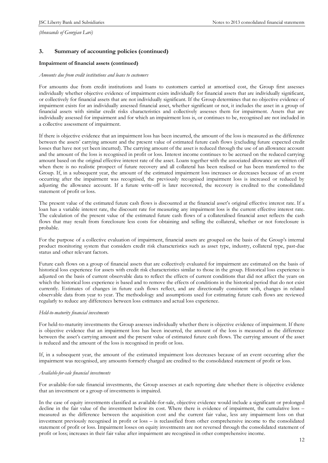# **3. Summary of accounting policies (continued)**

### **Impairment of financial assets (continued)**

#### *Amounts due from credit institutions and loans to customers*

For amounts due from credit institutions and loans to customers carried at amortised cost, the Group first assesses individually whether objective evidence of impairment exists individually for financial assets that are individually significant, or collectively for financial assets that are not individually significant. If the Group determines that no objective evidence of impairment exists for an individually assessed financial asset, whether significant or not, it includes the asset in a group of financial assets with similar credit risks characteristics and collectively assesses them for impairment. Assets that are individually assessed for impairment and for which an impairment loss is, or continues to be, recognised are not included in a collective assessment of impairment.

If there is objective evidence that an impairment loss has been incurred, the amount of the loss is measured as the difference between the assets' carrying amount and the present value of estimated future cash flows (excluding future expected credit losses that have not yet been incurred). The carrying amount of the asset is reduced through the use of an allowance account and the amount of the loss is recognised in profit or loss. Interest income continues to be accrued on the reduced carrying amount based on the original effective interest rate of the asset. Loans together with the associated allowance are written off when there is no realistic prospect of future recovery and all collateral has been realised or has been transferred to the Group. If, in a subsequent year, the amount of the estimated impairment loss increases or decreases because of an event occurring after the impairment was recognised, the previously recognised impairment loss is increased or reduced by adjusting the allowance account. If a future write-off is later recovered, the recovery is credited to the consolidated statement of profit or loss.

The present value of the estimated future cash flows is discounted at the financial asset's original effective interest rate. If a loan has a variable interest rate, the discount rate for measuring any impairment loss is the current effective interest rate. The calculation of the present value of the estimated future cash flows of a collateralised financial asset reflects the cash flows that may result from foreclosure less costs for obtaining and selling the collateral, whether or not foreclosure is probable.

For the purpose of a collective evaluation of impairment, financial assets are grouped on the basis of the Group's internal product monitoring system that considers credit risk characteristics such as asset type, industry, collateral type, past-due status and other relevant factors.

Future cash flows on a group of financial assets that are collectively evaluated for impairment are estimated on the basis of historical loss experience for assets with credit risk characteristics similar to those in the group. Historical loss experience is adjusted on the basis of current observable data to reflect the effects of current conditions that did not affect the years on which the historical loss experience is based and to remove the effects of conditions in the historical period that do not exist currently. Estimates of changes in future cash flows reflect, and are directionally consistent with, changes in related observable data from year to year. The methodology and assumptions used for estimating future cash flows are reviewed regularly to reduce any differences between loss estimates and actual loss experience.

#### *Held-to-maturity financial investments*

For held-to-maturity investments the Group assesses individually whether there is objective evidence of impairment. If there is objective evidence that an impairment loss has been incurred, the amount of the loss is measured as the difference between the asset's carrying amount and the present value of estimated future cash flows. The carrying amount of the asset is reduced and the amount of the loss is recognised in profit or loss.

If, in a subsequent year, the amount of the estimated impairment loss decreases because of an event occurring after the impairment was recognised, any amounts formerly charged are credited to the consolidated statement of profit or loss.

#### *Available-for-sale financial investments*

For available-for-sale financial investments, the Group assesses at each reporting date whether there is objective evidence that an investment or a group of investments is impaired.

In the case of equity investments classified as available-for-sale, objective evidence would include a significant or prolonged decline in the fair value of the investment below its cost. Where there is evidence of impairment, the cumulative loss – measured as the difference between the acquisition cost and the current fair value, less any impairment loss on that investment previously recognised in profit or loss – is reclassified from other comprehensive income to the consolidated statement of profit or loss. Impairment losses on equity investments are not reversed through the consolidated statement of profit or loss; increases in their fair value after impairment are recognised in other comprehensive income.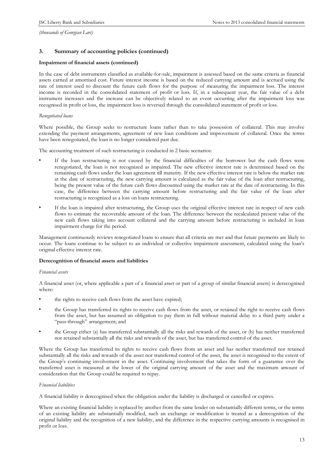# **3. Summary of accounting policies (continued)**

### **Impairment of financial assets (continued)**

In the case of debt instruments classified as available-for-sale, impairment is assessed based on the same criteria as financial assets carried at amortised cost. Future interest income is based on the reduced carrying amount and is accrued using the rate of interest used to discount the future cash flows for the purpose of measuring the impairment loss. The interest income is recorded in the consolidated statement of profit or loss. If, in a subsequent year, the fair value of a debt instrument increases and the increase can be objectively related to an event occurring after the impairment loss was recognised in profit or loss, the impairment loss is reversed through the consolidated statement of profit or loss.

#### *Renegotiated loans*

Where possible, the Group seeks to restructure loans rather than to take possession of collateral. This may involve extending the payment arrangements, agreement of new loan conditions and improvement of collateral. Once the terms have been renegotiated, the loan is no longer considered past due.

The accounting treatment of such restructuring is conducted in 2 basic scenarios:

- If the loan restructuring is not caused by the financial difficulties of the borrower but the cash flows were renegotiated, the loan is not recognized as impaired. The new effective interest rate is determined based on the remaining cash flows under the loan agreement till maturity. If the new effective interest rate is below the market rate at the date of restructuring, the new carrying amount is calculated as the fair value of the loan after restructuring, being the present value of the future cash flows discounted using the market rate at the date of restructuring. In this case, the difference between the carrying amount before restructuring and the fair value of the loan after restructuring is recognized as a loss on loans restructuring.
- If the loan is impaired after restructuring, the Group uses the original effective interest rate in respect of new cash flows to estimate the recoverable amount of the loan. The difference between the recalculated present value of the new cash flows taking into account collateral and the carrying amount before restructuring is included in loan impairment charge for the period.

Management continuously reviews renegotiated loans to ensure that all criteria are met and that future payments are likely to occur. The loans continue to be subject to an individual or collective impairment assessment, calculated using the loan's original effective interest rate.

### **Derecognition of financial assets and liabilities**

#### *Financial assets*

A financial asset (or, where applicable a part of a financial asset or part of a group of similar financial assets) is derecognised where:

- the rights to receive cash flows from the asset have expired;
- the Group has transferred its rights to receive cash flows from the asset, or retained the right to receive cash flows from the asset, but has assumed an obligation to pay them in full without material delay to a third party under a "pass-through" arrangement; and
- the Group either (a) has transferred substantially all the risks and rewards of the asset, or (b) has neither transferred nor retained substantially all the risks and rewards of the asset, but has transferred control of the asset.

Where the Group has transferred its rights to receive cash flows from an asset and has neither transferred nor retained substantially all the risks and rewards of the asset nor transferred control of the asset, the asset is recognised to the extent of the Group's continuing involvement in the asset. Continuing involvement that takes the form of a guarantee over the transferred asset is measured at the lower of the original carrying amount of the asset and the maximum amount of consideration that the Group could be required to repay.

### *Financial liabilities*

A financial liability is derecognised when the obligation under the liability is discharged or cancelled or expires.

Where an existing financial liability is replaced by another from the same lender on substantially different terms, or the terms of an existing liability are substantially modified, such an exchange or modification is treated as a derecognition of the original liability and the recognition of a new liability, and the difference in the respective carrying amounts is recognised in profit or loss.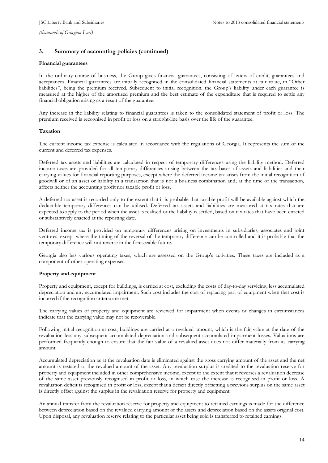### **3. Summary of accounting policies (continued)**

#### **Financial guarantees**

In the ordinary course of business, the Group gives financial guarantees, consisting of letters of credit, guarantees and acceptances. Financial guarantees are initially recognised in the consolidated financial statements at fair value, in "Other liabilities", being the premium received. Subsequent to initial recognition, the Group's liability under each guarantee is measured at the higher of the amortised premium and the best estimate of the expenditure that is required to settle any financial obligation arising as a result of the guarantee.

Any increase in the liability relating to financial guarantees is taken to the consolidated statement of profit or loss. The premium received is recognised in profit or loss on a straight-line basis over the life of the guarantee.

### **Taxation**

The current income tax expense is calculated in accordance with the regulations of Georgia. It represents the sum of the current and deferred tax expenses.

Deferred tax assets and liabilities are calculated in respect of temporary differences using the liability method. Deferred income taxes are provided for all temporary differences arising between the tax bases of assets and liabilities and their carrying values for financial reporting purposes, except where the deferred income tax arises from the initial recognition of goodwill or of an asset or liability in a transaction that is not a business combination and, at the time of the transaction, affects neither the accounting profit nor taxable profit or loss.

A deferred tax asset is recorded only to the extent that it is probable that taxable profit will be available against which the deductible temporary differences can be utilised. Deferred tax assets and liabilities are measured at tax rates that are expected to apply to the period when the asset is realised or the liability is settled, based on tax rates that have been enacted or substantively enacted at the reporting date.

Deferred income tax is provided on temporary differences arising on investments in subsidiaries, associates and joint ventures, except where the timing of the reversal of the temporary difference can be controlled and it is probable that the temporary difference will not reverse in the foreseeable future.

Georgia also has various operating taxes, which are assessed on the Group's activities. These taxes are included as a component of other operating expenses.

#### **Property and equipment**

Property and equipment, except for buildings, is carried at cost, excluding the costs of day-to-day servicing, less accumulated depreciation and any accumulated impairment. Such cost includes the cost of replacing part of equipment when that cost is incurred if the recognition criteria are met.

The carrying values of property and equipment are reviewed for impairment when events or changes in circumstances indicate that the carrying value may not be recoverable.

Following initial recognition at cost, buildings are carried at a revalued amount, which is the fair value at the date of the revaluation less any subsequent accumulated depreciation and subsequent accumulated impairment losses. Valuations are performed frequently enough to ensure that the fair value of a revalued asset does not differ materially from its carrying amount.

Accumulated depreciation as at the revaluation date is eliminated against the gross carrying amount of the asset and the net amount is restated to the revalued amount of the asset. Any revaluation surplus is credited to the revaluation reserve for property and equipment included in other comprehensive income, except to the extent that it reverses a revaluation decrease of the same asset previously recognised in profit or loss, in which case the increase is recognised in profit or loss. A revaluation deficit is recognised in profit or loss, except that a deficit directly offsetting a previous surplus on the same asset is directly offset against the surplus in the revaluation reserve for property and equipment.

An annual transfer from the revaluation reserve for property and equipment to retained earnings is made for the difference between depreciation based on the revalued carrying amount of the assets and depreciation based on the assets original cost. Upon disposal, any revaluation reserve relating to the particular asset being sold is transferred to retained earnings.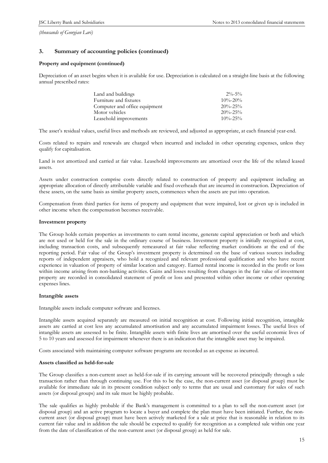# **3. Summary of accounting policies (continued)**

### **Property and equipment (continued)**

Depreciation of an asset begins when it is available for use. Depreciation is calculated on a straight-line basis at the following annual prescribed rates:

| Land and buildings            | $2\% - 5\%$   |
|-------------------------------|---------------|
| Furniture and fixtures        | $10\% - 20\%$ |
| Computer and office equipment | $20\% - 25\%$ |
| Motor vehicles                | $20\% - 25\%$ |
| Leasehold improvements        | $10\% - 25\%$ |

The asset's residual values, useful lives and methods are reviewed, and adjusted as appropriate, at each financial year-end.

Costs related to repairs and renewals are charged when incurred and included in other operating expenses, unless they qualify for capitalisation.

Land is not amortized and carried at fair value. Leasehold improvements are amortized over the life of the related leased assets.

Assets under construction comprise costs directly related to construction of property and equipment including an appropriate allocation of directly attributable variable and fixed overheads that are incurred in construction. Depreciation of these assets, on the same basis as similar property assets, commences when the assets are put into operation.

Compensation from third parties for items of property and equipment that were impaired, lost or given up is included in other income when the compensation becomes receivable.

### **Investment property**

The Group holds certain properties as investments to earn rental income, generate capital appreciation or both and which are not used or held for the sale in the ordinary course of business. Investment property is initially recognized at cost, including transaction costs, and subsequently remeasured at fair value reflecting market conditions at the end of the reporting period. Fair value of the Group's investment property is determined on the base of various sources including reports of independent appraisers, who hold a recognized and relevant professional qualification and who have recent experience in valuation of property of similar location and category. Earned rental income is recorded in the profit or loss within income arising from non-banking activities. Gains and losses resulting from changes in the fair value of investment property are recorded in consolidated statement of profit or loss and presented within other income or other operating expenses lines.

### **Intangible assets**

Intangible assets include computer software and licenses.

Intangible assets acquired separately are measured on initial recognition at cost. Following initial recognition, intangible assets are carried at cost less any accumulated amortisation and any accumulated impairment losses. The useful lives of intangible assets are assessed to be finite. Intangible assets with finite lives are amortised over the useful economic lives of 5 to 10 years and assessed for impairment whenever there is an indication that the intangible asset may be impaired.

Costs associated with maintaining computer software programs are recorded as an expense as incurred.

### **Assets classified as held-for-sale**

The Group classifies a non-current asset as held-for-sale if its carrying amount will be recovered principally through a sale transaction rather than through continuing use. For this to be the case, the non-current asset (or disposal group) must be available for immediate sale in its present condition subject only to terms that are usual and customary for sales of such assets (or disposal groups) and its sale must be highly probable.

The sale qualifies as highly probable if the Bank's management is committed to a plan to sell the non-current asset (or disposal group) and an active program to locate a buyer and complete the plan must have been initiated. Further, the noncurrent asset (or disposal group) must have been actively marketed for a sale at price that is reasonable in relation to its current fair value and in addition the sale should be expected to qualify for recognition as a completed sale within one year from the date of classification of the non-current asset (or disposal group) as held for sale.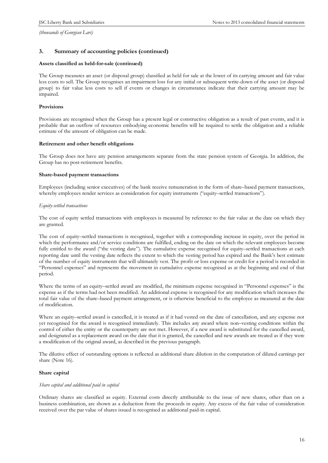### **3. Summary of accounting policies (continued)**

#### **Assets classified as held-for-sale (continued)**

The Group measures an asset (or disposal group) classified as held for sale at the lower of its carrying amount and fair value less costs to sell. The Group recognises an impairment loss for any initial or subsequent write-down of the asset (or disposal group) to fair value less costs to sell if events or changes in circumstance indicate that their carrying amount may be impaired.

### **Provisions**

Provisions are recognised when the Group has a present legal or constructive obligation as a result of past events, and it is probable that an outflow of resources embodying economic benefits will be required to settle the obligation and a reliable estimate of the amount of obligation can be made.

### **Retirement and other benefit obligations**

The Group does not have any pension arrangements separate from the state pension system of Georgia. In addition, the Group has no post-retirement benefits.

#### **Share-based payment transactions**

Employees (including senior executives) of the bank receive remuneration in the form of share–based payment transactions, whereby employees render services as consideration for equity instruments ("equity–settled transactions").

### *Equity-settled transactions*

The cost of equity settled transactions with employees is measured by reference to the fair value at the date on which they are granted.

The cost of equity–settled transactions is recognised, together with a corresponding increase in equity, over the period in which the performance and/or service conditions are fulfilled, ending on the date on which the relevant employees become fully entitled to the award ("the vesting date"). The cumulative expense recognised for equity–settled transactions at each reporting date until the vesting date reflects the extent to which the vesting period has expired and the Bank's best estimate of the number of equity instruments that will ultimately vest. The profit or loss expense or credit for a period is recorded in "Personnel expenses" and represents the movement in cumulative expense recognised as at the beginning and end of that period.

Where the terms of an equity–settled award are modified, the minimum expense recognised in "Personnel expenses" is the expense as if the terms had not been modified. An additional expense is recognised for any modification which increases the total fair value of the share–based payment arrangement, or is otherwise beneficial to the employee as measured at the date of modification.

Where an equity–settled award is cancelled, it is treated as if it had vested on the date of cancellation, and any expense not yet recognised for the award is recognised immediately. This includes any award where non–vesting conditions within the control of either the entity or the counterparty are not met. However, if a new award is substituted for the cancelled award, and designated as a replacement award on the date that it is granted, the cancelled and new awards are treated as if they were a modification of the original award, as described in the previous paragraph.

The dilutive effect of outstanding options is reflected as additional share dilution in the computation of diluted earnings per share (Note 16).

### **Share capital**

#### *Share capital and additional paid in capital*

Ordinary shares are classified as equity. External costs directly attributable to the issue of new shares, other than on a business combination, are shown as a deduction from the proceeds in equity. Any excess of the fair value of consideration received over the par value of shares issued is recognised as additional paid-in capital.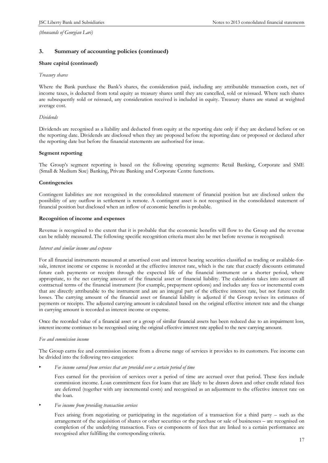# **3. Summary of accounting policies (continued)**

### **Share capital (continued)**

#### *Treasury shares*

Where the Bank purchase the Bank's shares, the consideration paid, including any attributable transaction costs, net of income taxes, is deducted from total equity as treasury shares until they are cancelled, sold or reissued. Where such shares are subsequently sold or reissued, any consideration received is included in equity. Treasury shares are stated at weighted average cost.

#### *Dividends*

Dividends are recognised as a liability and deducted from equity at the reporting date only if they are declared before or on the reporting date. Dividends are disclosed when they are proposed before the reporting date or proposed or declared after the reporting date but before the financial statements are authorised for issue.

### **Segment reporting**

The Group's segment reporting is based on the following operating segments: Retail Banking, Corporate and SME (Small & Medium Size) Banking, Private Banking and Corporate Centre functions.

### **Contingencies**

Contingent liabilities are not recognised in the consolidated statement of financial position but are disclosed unless the possibility of any outflow in settlement is remote. A contingent asset is not recognised in the consolidated statement of financial position but disclosed when an inflow of economic benefits is probable.

#### **Recognition of income and expenses**

Revenue is recognised to the extent that it is probable that the economic benefits will flow to the Group and the revenue can be reliably measured. The following specific recognition criteria must also be met before revenue is recognised:

#### *Interest and similar income and expense*

For all financial instruments measured at amortised cost and interest bearing securities classified as trading or available-forsale, interest income or expense is recorded at the effective interest rate, which is the rate that exactly discounts estimated future cash payments or receipts through the expected life of the financial instrument or a shorter period, where appropriate, to the net carrying amount of the financial asset or financial liability. The calculation takes into account all contractual terms of the financial instrument (for example, prepayment options) and includes any fees or incremental costs that are directly attributable to the instrument and are an integral part of the effective interest rate, but not future credit losses. The carrying amount of the financial asset or financial liability is adjusted if the Group revises its estimates of payments or receipts. The adjusted carrying amount is calculated based on the original effective interest rate and the change in carrying amount is recorded as interest income or expense.

Once the recorded value of a financial asset or a group of similar financial assets has been reduced due to an impairment loss, interest income continues to be recognised using the original effective interest rate applied to the new carrying amount.

#### *Fee and commission income*

The Group earns fee and commission income from a diverse range of services it provides to its customers. Fee income can be divided into the following two categories:

• *Fee income earned from services that are provided over a certain period of time*

Fees earned for the provision of services over a period of time are accrued over that period. These fees include commission income. Loan commitment fees for loans that are likely to be drawn down and other credit related fees are deferred (together with any incremental costs) and recognised as an adjustment to the effective interest rate on the loan.

#### • *Fee income from providing transaction services*

Fees arising from negotiating or participating in the negotiation of a transaction for a third party – such as the arrangement of the acquisition of shares or other securities or the purchase or sale of businesses – are recognised on completion of the underlying transaction. Fees or components of fees that are linked to a certain performance are recognised after fulfilling the corresponding criteria.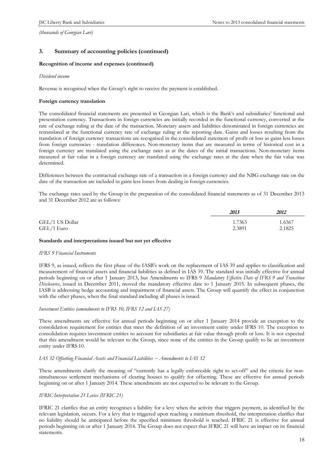# **3. Summary of accounting policies (continued)**

### **Recognition of income and expenses (continued)**

### *Dividend income*

Revenue is recognised when the Group's right to receive the payment is established.

### **Foreign currency translation**

The consolidated financial statements are presented in Georgian Lari, which is the Bank's and subsidiaries' functional and presentation currency. Transactions in foreign currencies are initially recorded in the functional currency, converted at the rate of exchange ruling at the date of the transaction. Monetary assets and liabilities denominated in foreign currencies are retranslated at the functional currency rate of exchange ruling at the reporting date. Gains and losses resulting from the translation of foreign currency transactions are recognised in the consolidated statement of profit or loss as gains less losses from foreign currencies - translation differences. Non-monetary items that are measured in terms of historical cost in a foreign currency are translated using the exchange rates as at the dates of the initial transactions. Non-monetary items measured at fair value in a foreign currency are translated using the exchange rates at the date when the fair value was determined.

Differences between the contractual exchange rate of a transaction in a foreign currency and the NBG exchange rate on the date of the transaction are included in gains less losses from dealing in foreign currencies.

The exchange rates used by the Group in the preparation of the consolidated financial statements as of 31 December 2013 and 31 December 2012 are as follows:

|                 | 2013   | 2012   |
|-----------------|--------|--------|
| GEL/1 US Dollar | 1.7363 | 1.6567 |
| GEL/1 Euro      | 2.3891 | 2.1825 |

#### **Standards and interpretations issued but not yet effective**

#### *IFRS 9 Financial Instruments*

IFRS 9, as issued, reflects the first phase of the IASB's work on the replacement of IAS 39 and applies to classification and measurement of financial assets and financial liabilities as defined in IAS 39. The standard was initially effective for annual periods beginning on or after 1 January 2013, but Amendments to IFRS 9 *Mandatory Effective Date of IFRS 9 and Transition Disclosures*, issued in December 2011, moved the mandatory effective date to 1 January 2015. In subsequent phases, the IASB is addressing hedge accounting and impairment of financial assets. The Group will quantify the effect in conjunction with the other phases, when the final standard including all phases is issued.

#### *Investment Entities (amendments to IFRS 10, IFRS 12 and IAS 27)*

These amendments are effective for annual periods beginning on or after 1 January 2014 provide an exception to the consolidation requirement for entities that meet the definition of an investment entity under IFRS 10. The exception to consolidation requires investment entities to account for subsidiaries at fair value through profit or loss. It is not expected that this amendment would be relevant to the Group, since none of the entities in the Group qualify to be an investment entity under IFRS 10.

#### *IAS 32 Offsetting Financial Assets and Financial Liabilities − Amendments to IAS 32*

These amendments clarify the meaning of "currently has a legally enforceable right to set-off" and the criteria for nonsimultaneous settlement mechanisms of clearing houses to qualify for offsetting. These are effective for annual periods beginning on or after 1 January 2014. These amendments are not expected to be relevant to the Group.

### *IFRIC Interpretation 21 Levies (IFRIC 21)*

IFRIC 21 clarifies that an entity recognises a liability for a levy when the activity that triggers payment, as identified by the relevant legislation, occurs. For a levy that is triggered upon reaching a minimum threshold, the interpretation clarifies that no liability should be anticipated before the specified minimum threshold is reached. IFRIC 21 is effective for annual periods beginning on or after 1 January 2014. The Group does not expect that IFRIC 21 will have an impact on its financial statements.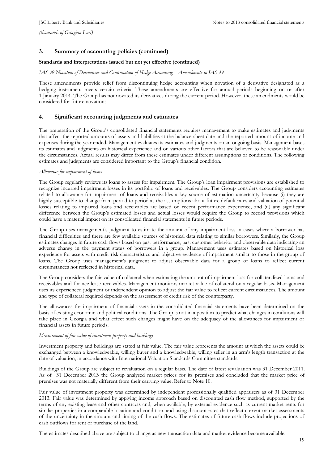### **3. Summary of accounting policies (continued)**

#### **Standards and interpretations issued but not yet effective (continued)**

#### *IAS 39 Novation of Derivatives and Continuation of Hedge Accounting – Amendments to IAS 39*

These amendments provide relief from discontinuing hedge accounting when novation of a derivative designated as a hedging instrument meets certain criteria. These amendments are effective for annual periods beginning on or after 1 January 2014. The Group has not novated its derivatives during the current period. However, these amendments would be considered for future novations.

### **4. Significant accounting judgments and estimates**

The preparation of the Group's consolidated financial statements requires management to make estimates and judgments that affect the reported amounts of assets and liabilities at the balance sheet date and the reported amount of income and expenses during the year ended. Management evaluates its estimates and judgments on an ongoing basis. Management bases its estimates and judgments on historical experience and on various other factors that are believed to be reasonable under the circumstances. Actual results may differ from these estimates under different assumptions or conditions. The following estimates and judgments are considered important to the Group's financial condition.

#### *Allowance for impairment of loans*

The Group regularly reviews its loans to assess for impairment. The Group's loan impairment provisions are established to recognize incurred impairment losses in its portfolio of loans and receivables. The Group considers accounting estimates related to allowance for impairment of loans and receivables a key source of estimation uncertainty because (i) they are highly susceptible to change from period to period as the assumptions about future default rates and valuation of potential losses relating to impaired loans and receivables are based on recent performance experience, and (ii) any significant difference between the Group's estimated losses and actual losses would require the Group to record provisions which could have a material impact on its consolidated financial statements in future periods.

The Group uses management's judgment to estimate the amount of any impairment loss in cases where a borrower has financial difficulties and there are few available sources of historical data relating to similar borrowers. Similarly, the Group estimates changes in future cash flows based on past performance, past customer behavior and observable data indicating an adverse change in the payment status of borrowers in a group. Management uses estimates based on historical loss experience for assets with credit risk characteristics and objective evidence of impairment similar to those in the group of loans. The Group uses management's judgment to adjust observable data for a group of loans to reflect current circumstances not reflected in historical data.

The Group considers the fair value of collateral when estimating the amount of impairment loss for collateralized loans and receivables and finance lease receivables. Management monitors market value of collateral on a regular basis. Management uses its experienced judgment or independent opinion to adjust the fair value to reflect current circumstances. The amount and type of collateral required depends on the assessment of credit risk of the counterparty.

The allowances for impairment of financial assets in the consolidated financial statements have been determined on the basis of existing economic and political conditions. The Group is not in a position to predict what changes in conditions will take place in Georgia and what effect such changes might have on the adequacy of the allowances for impairment of financial assets in future periods.

#### *Measurement of fair value of investment property and buildings*

Investment property and buildings are stated at fair value. The fair value represents the amount at which the assets could be exchanged between a knowledgeable, willing buyer and a knowledgeable, willing seller in an arm's length transaction at the date of valuation, in accordance with International Valuation Standards Committee standards.

Buildings of the Group are subject to revaluation on a regular basis. The date of latest revaluation was 31 December 2011. As of 31 December 2013 the Group analysed market prices for its premises and concluded that the market price of premises was not materially different from their carrying value. Refer to Note 10.

Fair value of investment property was determined by independent professionally qualified appraisers as of 31 December 2013. Fair value was determined by applying income approach based on discounted cash flow method, supported by the terms of any existing lease and other contracts and, when available, by external evidence such as current market rents for similar properties in a comparable location and condition, and using discount rates that reflect current market assessments of the uncertainty in the amount and timing of the cash flows. The estimates of future cash flows include projections of cash outflows for rent or purchase of the land.

The estimates described above are subject to change as new transaction data and market evidence become available.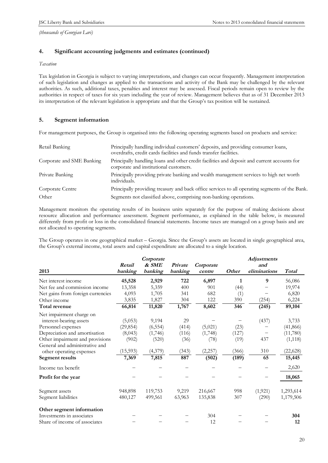# **4. Significant accounting judgments and estimates (continued)**

#### *Taxation*

Tax legislation in Georgia is subject to varying interpretations, and changes can occur frequently. Management interpretation of such legislation and changes as applied to the transactions and activity of the Bank may be challenged by the relevant authorities. As such, additional taxes, penalties and interest may be assessed. Fiscal periods remain open to review by the authorities in respect of taxes for six years including the year of review. Management believes that as of 31 December 2013 its interpretation of the relevant legislation is appropriate and that the Group's tax position will be sustained.

# **5. Segment information**

For management purposes, the Group is organised into the following operating segments based on products and service:

| Retail Banking            | Principally handling individual customers' deposits, and providing consumer loans,<br>overdrafts, credit cards facilities and funds transfer facilities. |
|---------------------------|----------------------------------------------------------------------------------------------------------------------------------------------------------|
| Corporate and SME Banking | Principally handling loans and other credit facilities and deposit and current accounts for<br>corporate and institutional customers.                    |
| Private Banking           | Principally providing private banking and wealth management services to high net worth<br>individuals.                                                   |
| Corporate Centre          | Principally providing treasury and back office services to all operating segments of the Bank.                                                           |
| Other                     | Segments not classified above, comprising non-banking operations.                                                                                        |

Management monitors the operating results of its business units separately for the purpose of making decisions about resource allocation and performance assessment. Segment performance, as explained in the table below, is measured differently from profit or loss in the consolidated financial statements. Income taxes are managed on a group basis and are not allocated to operating segments.

The Group operates in one geographical market – Georgia. Since the Group's assets are located in single geographical area, the Group's external income, total assets and capital expenditure are allocated to a single location.

|                                   |           | Corporate |         |           |              | <b>Adjustments</b> |              |
|-----------------------------------|-----------|-----------|---------|-----------|--------------|--------------------|--------------|
|                                   | Retail    | $&$ SME   | Private | Corporate |              | and                |              |
| 2013                              | banking   | banking   | banking | centre    | <b>Other</b> | eliminations       | <b>Total</b> |
| Net interest income               | 45,528    | 2,929     | 722     | 6,897     | 1            | 9                  | 56,086       |
| Net fee and commission income     | 13,358    | 5,359     | 400     | 901       | (44)         |                    | 19,974       |
| Net gains from foreign currencies | 4,093     | 1,705     | 341     | 682       | (1)          |                    | 6,820        |
| Other income                      | 3,835     | 1,827     | 304     | 122       | 390          | (254)              | 6,224        |
| Total revenue                     | 66,814    | 11,820    | 1,767   | 8,602     | 346          | (245)              | 89,104       |
| Net impairment charge on          |           |           |         |           |              |                    |              |
| interest-bearing assets           | (5,053)   | 9,194     | 29      |           |              | (437)              | 3,733        |
| Personnel expenses                | (29, 854) | (6, 554)  | (414)   | (5,021)   | (23)         |                    | (41, 866)    |
| Depreciation and amortisation     | (8,043)   | (1,746)   | (116)   | (1,748)   | (127)        |                    | (11,780)     |
| Other impairment and provisions   | (902)     | (520)     | (36)    | (78)      | (19)         | 437                | (1, 118)     |
| General and administrative and    |           |           |         |           |              |                    |              |
| other operating expenses          | (15, 593) | (4,379)   | (343)   | (2,257)   | (366)        | 310                | (22, 628)    |
| Segment results                   | 7,369     | 7,815     | 887     | (502)     | (189)        | 65                 | 15,445       |
| Income tax benefit                |           |           |         |           |              |                    | 2,620        |
| Profit for the year               |           |           |         |           |              |                    | 18,065       |
| Segment assets                    | 948,898   | 119,753   | 9,219   | 216,667   | 998          | (1,921)            | 1,293,614    |
| Segment liabilities               | 480,127   | 499,561   | 63,963  | 135,838   | 307          | (290)              | 1,179,506    |
| Other segment information         |           |           |         |           |              |                    |              |
| Investments in associates         |           |           |         | 304       |              |                    | 304          |
| Share of income of associates     |           |           |         | 12        |              |                    | 12           |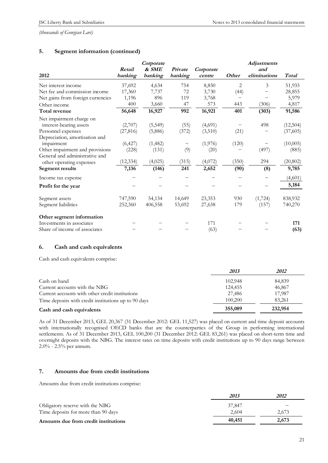# **5. Segment information (continued)**

|                                   |           | Corporate |         |           |              | <b>Adjustments</b> |           |
|-----------------------------------|-----------|-----------|---------|-----------|--------------|--------------------|-----------|
|                                   | Retail    | $&$ SME   | Private | Corporate |              | and                |           |
| 2012                              | banking   | banking   | banking | centre    | <b>Other</b> | eliminations       | Total     |
| Net interest income               | 37,692    | 4,634     | 754     | 8,850     | 2            | 3                  | 51,935    |
| Net fee and commission income     | 17,360    | 7,737     | 72      | 3,730     | (44)         |                    | 28,855    |
| Net gains from foreign currencies | 1,196     | 896       | 119     | 3,768     |              |                    | 5,979     |
| Other income                      | 400       | 3,660     | 47      | 573       | 443          | (306)              | 4,817     |
| Total revenue                     | 56,648    | 16,927    | 992     | 16,921    | 401          | (303)              | 91,586    |
| Net impairment charge on          |           |           |         |           |              |                    |           |
| interest-bearing assets           | (2,707)   | (5,549)   | (55)    | (4,691)   |              | 498                | (12,504)  |
| Personnel expenses                | (27, 816) | (5,886)   | (372)   | (3,510)   | (21)         |                    | (37,605)  |
| Depreciation, amortisation and    |           |           |         |           |              |                    |           |
| impairment                        | (6,427)   | (1,482)   |         | (1,976)   | (120)        |                    | (10,005)  |
| Other impairment and provisions   | (228)     | (131)     | (9)     | (20)      |              | (497)              | (885)     |
| General and administrative and    |           |           |         |           |              |                    |           |
| other operating expenses          | (12, 334) | (4,025)   | (315)   | (4,072)   | (350)        | 294                | (20, 802) |
| Segment results                   | 7,136     | (146)     | 241     | 2,652     | (90)         | (8)                | 9,785     |
| Income tax expense                |           |           |         |           |              |                    | (4,601)   |
| Profit for the year               |           |           |         |           |              |                    | 5,184     |
| Segment assets                    | 747,590   | 54,134    | 14,649  | 23,353    | 930          | (1, 724)           | 838,932   |
| Segment liabilities               | 252,360   | 406,558   | 53,692  | 27,638    | 179          | (157)              | 740,270   |
| Other segment information         |           |           |         |           |              |                    |           |
| Investments in associates         |           |           |         | 171       |              |                    | 171       |
| Share of income of associates     |           |           |         | (63)      |              |                    | (63)      |

### **6. Cash and cash equivalents**

Cash and cash equivalents comprise:

|                                                      | 2013    | 2012    |
|------------------------------------------------------|---------|---------|
| Cash on hand                                         | 102,948 | 84,839  |
| Current accounts with the NBG                        | 124,455 | 46,867  |
| Current accounts with other credit institutions      | 27,486  | 17,987  |
| Time deposits with credit institutions up to 90 days | 100,200 | 83,261  |
| Cash and cash equivalents                            | 355,089 | 232,954 |

As of 31 December 2013, GEL 20,367 (31 December 2012: GEL 11,527) was placed on current and time deposit accounts with internationally recognised OECD banks that are the counterparties of the Group in performing international settlements. As of 31 December 2013, GEL 100,200 (31 December 2012: GEL 83,261) was placed on short-term time and overnight deposits with the NBG. The interest rates on time deposits with credit institutions up to 90 days range between 2.0% - 2.5% per annum.

# **7. Amounts due from credit institutions**

Amounts due from credit institutions comprise:

|                                      | 2013   | 2012  |
|--------------------------------------|--------|-------|
| Obligatory reserve with the NBG      | 37.847 |       |
| Time deposits for more than 90 days  | 2.604  | 2.673 |
| Amounts due from credit institutions | 40.451 | 2.673 |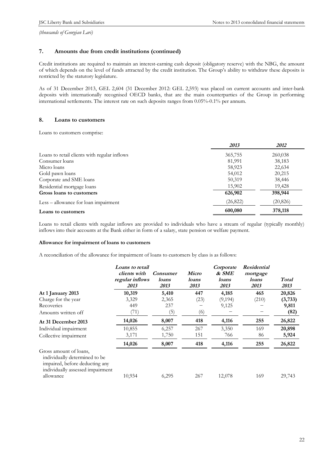### **7. Amounts due from credit institutions (continued)**

Credit institutions are required to maintain an interest-earning cash deposit (obligatory reserve) with the NBG, the amount of which depends on the level of funds attracted by the credit institution. The Group's ability to withdraw these deposits is restricted by the statutory legislature.

As of 31 December 2013, GEL 2,604 (31 December 2012: GEL 2,593) was placed on current accounts and inter-bank deposits with internationally recognised OECD banks, that are the main counterparties of the Group in performing international settlements. The interest rate on such deposits ranges from 0.05%-0.1% per annum.

# **8. Loans to customers**

Loans to customers comprise:

|                                              | 2013      | 2012      |
|----------------------------------------------|-----------|-----------|
| Loans to retail clients with regular inflows | 365,755   | 260,038   |
| Consumer loans                               | 81,991    | 38,183    |
| Micro loans                                  | 58,923    | 22,634    |
| Gold pawn loans                              | 54,012    | 20,215    |
| Corporate and SME loans                      | 50,319    | 38,446    |
| Residential mortgage loans                   | 15,902    | 19,428    |
| Gross loans to customers                     | 626,902   | 398,944   |
| Less – allowance for loan impairment         | (26, 822) | (20, 826) |
| Loans to customers                           | 600,080   | 378,118   |

Loans to retail clients with regular inflows are provided to individuals who have a stream of regular (typically monthly) inflows into their accounts at the Bank either in form of a salary, state pension or welfare payment.

#### **Allowance for impairment of loans to customers**

A reconciliation of the allowance for impairment of loans to customers by class is as follows:

|                                                                                                                                            | Loans to retail<br>clients with<br>regular inflows<br>2013 | Consumer<br>loans<br>2013 | <b>Micro</b><br>loans<br>2013 | Corporate<br>& SME<br>loans<br>2013 | Residential<br>mortgage<br>loans<br>2013 | Total<br>2013 |
|--------------------------------------------------------------------------------------------------------------------------------------------|------------------------------------------------------------|---------------------------|-------------------------------|-------------------------------------|------------------------------------------|---------------|
| At 1 January 2013                                                                                                                          | 10,319                                                     | 5,410                     | 447                           | 4,185                               | 465                                      | 20,826        |
| Charge for the year                                                                                                                        | 3,329                                                      | 2,365                     | (23)                          | (9, 194)                            | (210)                                    | (3,733)       |
| Recoveries                                                                                                                                 | 449                                                        | 237                       |                               | 9,125                               |                                          | 9,811         |
| Amounts written off                                                                                                                        | (71)                                                       | $\left(5\right)$          | (6)                           |                                     |                                          | (82)          |
| At 31 December 2013                                                                                                                        | 14,026                                                     | 8,007                     | 418                           | 4,116                               | 255                                      | 26,822        |
| Individual impairment                                                                                                                      | 10,855                                                     | 6,257                     | 267                           | 3,350                               | 169                                      | 20,898        |
| Collective impairment                                                                                                                      | 3,171                                                      | 1,750                     | 151                           | 766                                 | 86                                       | 5,924         |
|                                                                                                                                            | 14,026                                                     | 8,007                     | 418                           | 4,116                               | 255                                      | 26,822        |
| Gross amount of loans,<br>individually determined to be<br>impaired, before deducting any<br>individually assessed impairment<br>allowance | 10,934                                                     | 6,295                     | 267                           | 12,078                              | 169                                      | 29,743        |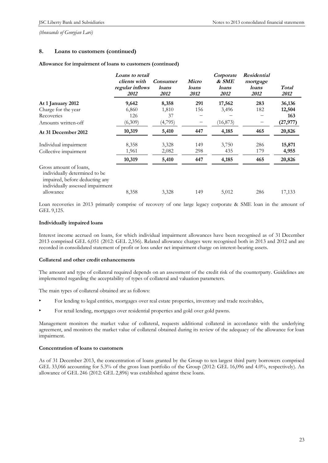### **8. Loans to customers (continued)**

### **Allowance for impairment of loans to customers (continued)**

|                                                                                                                                            | Loans to retail<br>clients with<br>regular inflows<br><i>2012</i> | <i>Consumer</i><br>loans<br><i>2012</i> | Micro<br>loans<br><i>2012</i> | Corporate<br>& SME<br>loans<br>2012 | Residential<br>mortgage<br>loans<br><i>2012</i> | <b>Total</b><br>2012 |
|--------------------------------------------------------------------------------------------------------------------------------------------|-------------------------------------------------------------------|-----------------------------------------|-------------------------------|-------------------------------------|-------------------------------------------------|----------------------|
| At 1 January 2012                                                                                                                          | 9,642                                                             | 8,358                                   | 291                           | 17,562                              | 283                                             | 36,136               |
| Charge for the year                                                                                                                        | 6,860                                                             | 1,810                                   | 156                           | 3,496                               | 182                                             | 12,504               |
| Recoveries                                                                                                                                 | 126                                                               | 37                                      |                               |                                     |                                                 | 163                  |
| Amounts written-off                                                                                                                        | (6,309)                                                           | (4,795)                                 |                               | (16, 873)                           |                                                 | (27, 977)            |
| At 31 December 2012                                                                                                                        | 10,319                                                            | 5,410                                   | 447                           | 4,185                               | 465                                             | 20,826               |
| Individual impairment                                                                                                                      | 8,358                                                             | 3,328                                   | 149                           | 3,750                               | 286                                             | 15,871               |
| Collective impairment                                                                                                                      | 1,961                                                             | 2,082                                   | 298                           | 435                                 | 179                                             | 4,955                |
|                                                                                                                                            | 10,319                                                            | 5,410                                   | 447                           | 4,185                               | 465                                             | 20,826               |
| Gross amount of loans,<br>individually determined to be<br>impaired, before deducting any<br>individually assessed impairment<br>allowance | 8,358                                                             | 3,328                                   | 149                           | 5,012                               | 286                                             | 17,133               |

Loan recoveries in 2013 primarily comprise of recovery of one large legacy corporate & SME loan in the amount of GEL 9,125.

### **Individually impaired loans**

Interest income accrued on loans, for which individual impairment allowances have been recognised as of 31 December 2013 comprised GEL 6,051 (2012: GEL 2,356). Related allowance charges were recognised both in 2013 and 2012 and are recorded in consolidated statement of profit or loss under net impairment charge on interest-bearing assets.

#### **Collateral and other credit enhancements**

The amount and type of collateral required depends on an assessment of the credit risk of the counterparty. Guidelines are implemented regarding the acceptability of types of collateral and valuation parameters.

The main types of collateral obtained are as follows:

- For lending to legal entities, mortgages over real estate properties, inventory and trade receivables,
- For retail lending, mortgages over residential properties and gold over gold pawns.

Management monitors the market value of collateral, requests additional collateral in accordance with the underlying agreement, and monitors the market value of collateral obtained during its review of the adequacy of the allowance for loan impairment.

### **Concentration of loans to customers**

As of 31 December 2013, the concentration of loans granted by the Group to ten largest third party borrowers comprised GEL 33,066 accounting for 5.3% of the gross loan portfolio of the Group (2012: GEL 16,096 and 4.0%, respectively). An allowance of GEL 246 (2012: GEL 2,896) was established against these loans.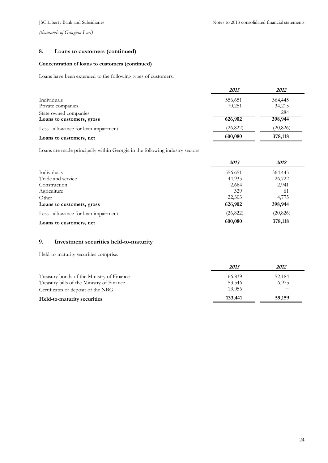# **8. Loans to customers (continued)**

# **Concentration of loans to customers (continued)**

Loans have been extended to the following types of customers:

|                                      | 2013      | 2012      |
|--------------------------------------|-----------|-----------|
| Individuals                          | 556,651   | 364,445   |
| Private companies                    | 70,251    | 34,215    |
| State owned companies                |           | 284       |
| Loans to customers, gross            | 626,902   | 398,944   |
| Less - allowance for loan impairment | (26, 822) | (20, 826) |
| Loans to customers, net              | 600,080   | 378,118   |

Loans are made principally within Georgia in the following industry sectors:

|                                      | 2013      | 2012      |
|--------------------------------------|-----------|-----------|
| Individuals                          | 556,651   | 364,445   |
| Trade and service                    | 44,935    | 26,722    |
| Construction                         | 2,684     | 2,941     |
| Agriculture                          | 329       | 61        |
| Other                                | 22,303    | 4,775     |
| Loans to customers, gross            | 626,902   | 398,944   |
| Less - allowance for loan impairment | (26, 822) | (20, 826) |
| Loans to customers, net              | 600,080   | 378,118   |

# **9. Investment securities held-to-maturity**

Held-to-maturity securities comprise:

|                                           | 2013    | 2012   |
|-------------------------------------------|---------|--------|
| Treasury bonds of the Ministry of Finance | 66,839  | 52,184 |
| Treasury bills of the Ministry of Finance | 53,546  | 6.975  |
| Certificates of deposit of the NBG        | 13,056  |        |
| Held-to-maturity securities               | 133,441 | 59,159 |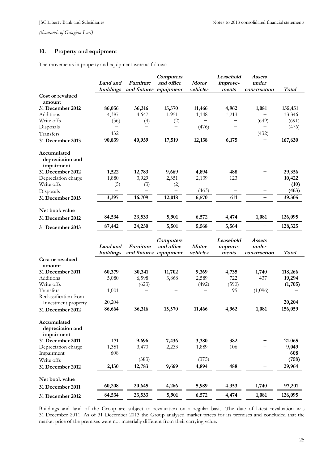# **10. Property and equipment**

The movements in property and equipment were as follows:

|                                   | Land and<br>buildings | <b>Furniture</b><br>and fixtures | <b>Computers</b><br>and office<br>equipment | <b>Motor</b><br>vehicles | Leasehold<br>improve-<br>ments | <b>Assets</b><br>under<br>construction | <b>Total</b>      |
|-----------------------------------|-----------------------|----------------------------------|---------------------------------------------|--------------------------|--------------------------------|----------------------------------------|-------------------|
| Cost or revalued                  |                       |                                  |                                             |                          |                                |                                        |                   |
| amount                            |                       |                                  |                                             |                          |                                |                                        |                   |
| 31 December 2012                  | 86,056                | 36,316                           | 15,570                                      | 11,466                   | 4,962                          | 1,081                                  | 155,451           |
| Additions<br>Write offs           | 4,387                 | 4,647                            | 1,951                                       | 1,148                    | 1,213                          |                                        | 13,346            |
| Disposals                         | (36)                  | (4)                              | (2)                                         | (476)                    |                                | (649)                                  | (691)<br>(476)    |
| Transfers                         | 432                   |                                  |                                             |                          |                                | (432)                                  |                   |
| 31 December 2013                  | 90,839                | 40,959                           | 17,519                                      | 12,138                   | 6,175                          | -                                      | 167,630           |
| Accumulated                       |                       |                                  |                                             |                          |                                |                                        |                   |
| depreciation and<br>impairment    |                       |                                  |                                             |                          |                                |                                        |                   |
| 31 December 2012                  | 1,522                 | 12,783                           | 9,669                                       | 4,894                    | 488                            |                                        | 29,356            |
| Depreciation charge               | 1,880                 | 3,929                            | 2,351                                       | 2,139                    | 123                            |                                        | 10,422            |
| Write offs                        | (5)                   | (3)                              | (2)                                         |                          | $\overline{\phantom{0}}$       |                                        | (10)              |
| Disposals                         |                       |                                  |                                             | (463)                    |                                |                                        | (463)             |
| 31 December 2013                  | 3,397                 | 16,709                           | 12,018                                      | 6,570                    | 611                            |                                        | 39,305            |
| Net book value                    |                       |                                  |                                             |                          |                                |                                        |                   |
| 31 December 2012                  | 84,534                | 23,533                           | 5,901                                       | 6,572                    | 4,474                          | 1,081                                  | 126,095           |
| 31 December 2013                  | 87,442                | 24,250                           | 5,501                                       | 5,568                    | 5,564                          |                                        | 128,325           |
|                                   |                       |                                  |                                             |                          |                                |                                        |                   |
|                                   |                       |                                  | <b>Computers</b>                            |                          | Leasehold                      | <i>Assets</i>                          |                   |
|                                   | Land and              | Furniture                        | and office                                  | <b>Motor</b>             | improve-                       | under                                  |                   |
|                                   | buildings             | and fixtures                     | equipment                                   | vehicles                 | ments                          | construction                           | <b>Total</b>      |
| Cost or revalued<br>amount        |                       |                                  |                                             |                          |                                |                                        |                   |
| 31 December 2011                  |                       |                                  |                                             |                          |                                |                                        |                   |
| Additions                         | 60,379<br>5,080       | 30,341<br>6,598                  | 11,702<br>3,868                             | 9,369<br>2,589           | 4,735<br>722                   | 1,740<br>437                           | 118,266<br>19,294 |
| Write offs                        |                       | (623)                            |                                             | (492)                    | (590)                          |                                        | (1,705)           |
| Transfers                         | 1,001                 |                                  |                                             |                          | 95                             | (1,096)                                |                   |
| Reclassification from             |                       |                                  |                                             |                          |                                |                                        |                   |
| Investment property               | 20,204                |                                  |                                             |                          |                                |                                        | 20,204            |
| 31 December 2012                  | 86,664                | 36,316                           | 15,570                                      | 11,466                   | 4,962                          | 1,081                                  | 156,059           |
| Accumulated<br>depreciation and   |                       |                                  |                                             |                          |                                |                                        |                   |
| impairment<br>31 December 2011    | 171                   | 9,696                            |                                             |                          | 382                            |                                        |                   |
|                                   | 1,351                 | 3,470                            | 7,436<br>2,233                              | 3,380<br>1,889           | 106                            |                                        | 21,065<br>9,049   |
| Depreciation charge<br>Impairment | 608                   |                                  |                                             |                          |                                |                                        | 608               |
| Write offs                        |                       | (383)                            |                                             | (375)                    |                                |                                        | (758)             |
| 31 December 2012                  | 2,130                 | 12,783                           | 9,669                                       | 4,894                    | 488                            |                                        | 29,964            |
| Net book value                    |                       |                                  |                                             |                          |                                |                                        |                   |
| 31 December 2011                  | 60,208<br>84,534      | 20,645<br>23,533                 | 4,266<br>5,901                              | 5,989<br>6,572           | 4,353<br>4,474                 | 1,740<br>1,081                         | 97,201<br>126,095 |

Buildings and land of the Group are subject to revaluation on a regular basis. The date of latest revaluation was 31 December 2011. As of 31 December 2013 the Group analysed market prices for its premises and concluded that the market price of the premises were not materially different from their carrying value.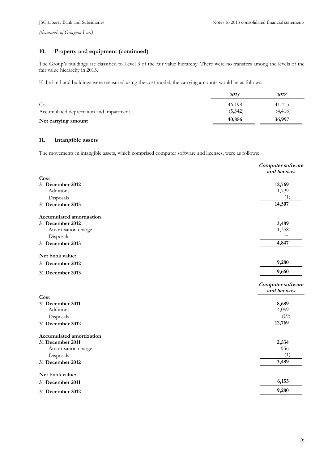# **10. Property and equipment (continued)**

The Group's buildings are classified to Level 3 of the fair value hierarchy. There were no transfers among the levels of the fair value hierarchy in 2013.

If the land and buildings were measured using the cost model, the carrying amounts would be as follows:

|                                         | 2013    | 2012     |
|-----------------------------------------|---------|----------|
| Cost                                    | 46,198  | 41,415   |
| Accumulated depreciation and impairment | (5,342) | (4, 418) |
| Net carrying amount                     | 40,856  | 36,997   |

# **11. Intangible assets**

The movements in intangible assets, which comprised computer software and licenses, were as follows:

|                          | Computer software<br>and licenses |
|--------------------------|-----------------------------------|
| Cost                     |                                   |
| 31 December 2012         | 12,769                            |
| Additions                | 1,739                             |
| Disposals                | (1)                               |
| 31 December 2013         | 14,507                            |
| Accumulated amortisation |                                   |
| 31 December 2012         | 3,489                             |
| Amortisation charge      | 1,358                             |
| Disposals                |                                   |
| 31 December 2013         | 4,847                             |
| Net book value:          |                                   |
| 31 December 2012         | 9,280                             |
| 31 December 2013         | 9,660                             |
|                          | Computer software                 |
|                          | and licenses                      |
| Cost                     |                                   |
| 31 December 2011         | 8,689                             |
| Additions                | 4,099                             |
| Disposals                | (19)                              |
| 31 December 2012         | 12,769                            |
| Accumulated amortization |                                   |
| 31 December 2011         | 2,534                             |
| Amortisation charge      | 956                               |
| Disposals                | (1)                               |
| 31 December 2012         | 3,489                             |
| Net book value:          |                                   |
| 31 December 2011         | 6,155                             |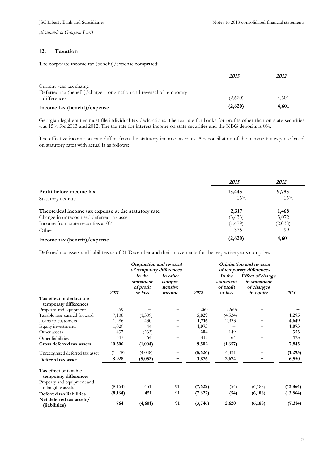# **12. Taxation**

The corporate income tax (benefit)/expense comprised:

|                                                                       | 2013    | 2012  |
|-----------------------------------------------------------------------|---------|-------|
| Current year tax charge                                               |         |       |
| Deferred tax (benefit)/charge – origination and reversal of temporary |         |       |
| differences                                                           | (2,620) | 4,601 |
| Income tax (benefit)/expense                                          | (2,620) | 4,601 |

Georgian legal entities must file individual tax declarations. The tax rate for banks for profits other than on state securities was 15% for 2013 and 2012. The tax rate for interest income on state securities and the NBG deposits is 0%.

The effective income tax rate differs from the statutory income tax rates. A reconciliation of the income tax expense based on statutory rates with actual is as follows:

|                                                      | 2013    | <i>2012</i> |
|------------------------------------------------------|---------|-------------|
| Profit before income tax                             | 15,445  | 9,785       |
| Statutory tax rate                                   | 15%     | 15%         |
| Theoretical income tax expense at the statutory rate | 2,317   | 1,468       |
| Change in unrecognised deferred tax asset            | (3,633) | 5,072       |
| Income from state securities at 0%                   | (1,679) | (2,038)     |
| Other                                                | 375     | 99          |
| Income tax (benefit)/expense                         | (2,620) | 4,601       |

Deferred tax assets and liabilities as of 31 December and their movements for the respective years comprise:

|                                                   |          | Origination and reversal<br>of temporary differences |                                          |         |                                             | Origination and reversal<br>of temporary differences                      |           |
|---------------------------------------------------|----------|------------------------------------------------------|------------------------------------------|---------|---------------------------------------------|---------------------------------------------------------------------------|-----------|
|                                                   | 2011     | In the<br>statement<br>of profit<br>or loss          | In other<br>compre-<br>hensive<br>income | 2012    | In the<br>statement<br>of profit<br>or loss | <b>Effect of change</b><br>in statement<br>of changes<br><i>in equity</i> | 2013      |
| Tax effect of deductible<br>temporary differences |          |                                                      |                                          |         |                                             |                                                                           |           |
| Property and equipment                            | 269      |                                                      |                                          | 269     | (269)                                       |                                                                           |           |
| Taxable loss carried forward                      | 7,138    | (1,309)                                              |                                          | 5,829   | (4,534)                                     |                                                                           | 1,295     |
| Loans to customers                                | 1,286    | 430                                                  |                                          | 1,716   | 2,933                                       |                                                                           | 4,649     |
| Equity investments                                | 1,029    | 44                                                   |                                          | 1,073   |                                             |                                                                           | 1,073     |
| Other assets                                      | 437      | (233)                                                |                                          | 204     | 149                                         |                                                                           | 353       |
| Other liabilities                                 | 347      | 64                                                   |                                          | 411     | 64                                          |                                                                           | 475       |
| Gross deferred tax assets                         | 10,506   | (1,004)                                              |                                          | 9,502   | (1,657)                                     |                                                                           | 7,845     |
| Unrecognised deferred tax asset                   | (1, 578) | (4,048)                                              |                                          | (5,626) | 4,331                                       |                                                                           | (1,295)   |
| Deferred tax asset                                | 8,928    | (5,052)                                              |                                          | 3,876   | 2,674                                       |                                                                           | 6,550     |
| Tax effect of taxable<br>temporary differences    |          |                                                      |                                          |         |                                             |                                                                           |           |
| Property and equipment and<br>intangible assets   | (8, 164) | 451                                                  | 91                                       | (7,622) | (54)                                        | (6,188)                                                                   | (13, 864) |
| Deferred tax liabilities                          | (8, 164) | 451                                                  | 91                                       | (7,622) | (54)                                        | (6, 188)                                                                  | (13, 864) |
| Net deferred tax assets/<br>(liabilities)         | 764      | (4,601)                                              | 91                                       | (3,746) | 2,620                                       | (6, 188)                                                                  | (7, 314)  |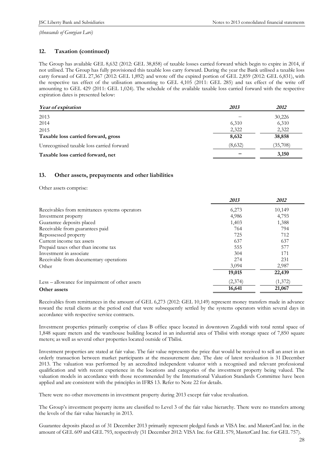# **12. Taxation (continued)**

The Group has available GEL 8,632 (2012: GEL 38,858) of taxable losses carried forward which begin to expire in 2014, if not utilised. The Group has fully provisioned this taxable loss carry forward. During the year the Bank utilised a taxable loss carry forward of GEL 27,367 (2012: GEL 1,892) and wrote off the expired portion of GEL 2,859 (2012: GEL 6,831), with the respective tax effect of the utilisation amounting to GEL 4,105 (2011: GEL 285) and tax effect of the write off amounting to GEL 429 (2011: GEL 1,024). The schedule of the available taxable loss carried forward with the respective expiration dates is presented below:

| Year of expiration                        | 2013    | 2012     |
|-------------------------------------------|---------|----------|
| 2013                                      |         | 30,226   |
| 2014                                      | 6,310   | 6,310    |
| 2015                                      | 2,322   | 2,322    |
| Taxable loss carried forward, gross       | 8,632   | 38,858   |
| Unrecognised taxable loss carried forward | (8,632) | (35,708) |
| Taxable loss carried forward, net         |         | 3,150    |

# **13. Other assets, prepayments and other liabilities**

Other assets comprise:

|                                                 | 2013    | 2012     |
|-------------------------------------------------|---------|----------|
| Receivables from remittances systems operators  | 6,273   | 10,149   |
| Investment property                             | 4,986   | 4,793    |
| Guarantee deposits placed                       | 1,403   | 1,388    |
| Receivable from guarantees paid                 | 764     | 794      |
| Repossessed property                            | 725     | 712      |
| Current income tax assets                       | 637     | 637      |
| Prepaid taxes other than income tax             | 555     | 577      |
| Investment in associate                         | 304     | 171      |
| Receivable from documentary operations          | 274     | 231      |
| Other                                           | 3,094   | 2,987    |
|                                                 | 19,015  | 22,439   |
| Less – allowance for impairment of other assets | (2,374) | (1, 372) |
| Other assets                                    | 16,641  | 21,067   |

Receivables from remittances in the amount of GEL 6,273 (2012: GEL 10,149) represent money transfers made in advance toward the retail clients at the period end that were subsequently settled by the systems operators within several days in accordance with respective service contracts.

Investment properties primarily comprise of class B office space located in downtown Zugdidi with total rental space of 1,848 square meters and the warehouse building located in an industrial area of Tbilisi with storage space of 7,850 square meters; as well as several other properties located outside of Tbilisi.

Investment properties are stated at fair value. The fair value represents the price that would be received to sell an asset in an orderly transaction between market participants at the measurement date. The date of latest revaluation is 31 December 2013. The valuation was performed by an accredited independent valuator with a recognised and relevant professional qualification and with recent experience in the locations and categories of the investment property being valued. The valuation models in accordance with those recommended by the International Valuation Standards Committee have been applied and are consistent with the principles in IFRS 13. Refer to Note 22 for details.

There were no other movements in investment property during 2013 except fair value revaluation.

The Group's investment property items are classified to Level 3 of the fair value hierarchy. There were no transfers among the levels of the fair value hierarchy in 2013.

Guarantee deposits placed as of 31 December 2013 primarily represent pledged funds at VISA Inc. and MasterCard Inc. in the amount of GEL 609 and GEL 793, respectively (31 December 2012: VISA Inc. for GEL 579, MasterCard Inc. for GEL 757).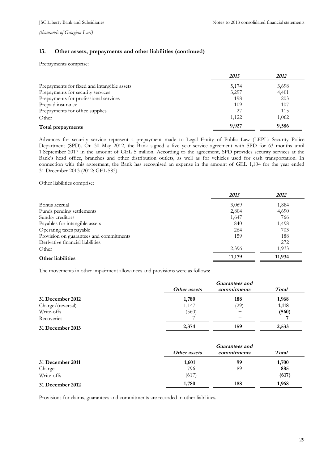# **13. Other assets, prepayments and other liabilities (continued)**

Prepayments comprise:

|                                             | 2013  | <i>2012</i> |
|---------------------------------------------|-------|-------------|
| Prepayments for fixed and intangible assets | 5,174 | 3,698       |
| Prepayments for security services           | 3,297 | 4,401       |
| Prepayments for professional services       | 198   | 203         |
| Prepaid insurance                           | 109   | 107         |
| Prepayments for office supplies             | 27    | 115         |
| Other                                       | 1.122 | 1,062       |
| Total prepayments                           | 9,927 | 9,586       |

Advances for security service represent a prepayment made to Legal Entity of Public Law (LEPL) Security Police Department (SPD). On 30 May 2012, the Bank signed a five year service agreement with SPD for 63 months until 1 September 2017 in the amount of GEL 5 million. According to the agreement, SPD provides security services at the Bank's head office, branches and other distribution outlets, as well as for vehicles used for cash transportation. In connection with this agreement, the Bank has recognised an expense in the amount of GEL 1,104 for the year ended 31 December 2013 (2012: GEL 583).

Other liabilities comprise:

|                                         | 2013   | 2012   |
|-----------------------------------------|--------|--------|
| Bonus accrual                           | 3,069  | 1,884  |
| Funds pending settlements               | 2,804  | 4,690  |
| Sundry creditors                        | 1,647  | 766    |
| Payables for intangible assets          | 840    | 1,498  |
| Operating taxes payable                 | 264    | 703    |
| Provision on guarantees and commitments | 159    | 188    |
| Derivative financial liabilities        |        | 272    |
| Other                                   | 2,396  | 1,933  |
| <b>Other liabilities</b>                | 11,179 | 11,934 |

The movements in other impairment allowances and provisions were as follows:

|                   | Guarantees and |             |       |
|-------------------|----------------|-------------|-------|
|                   | Other assets   | commitments | Total |
| 31 December 2012  | 1,780          | 188         | 1,968 |
| Charge/(reversal) | 1,147          | (29)        | 1,118 |
| Write-offs        | (560)          |             | (560) |
| Recoveries        |                |             |       |
| 31 December 2013  | 2,374          | 159         | 2,533 |

|                  | Guarantees and |             |              |
|------------------|----------------|-------------|--------------|
|                  | Other assets   | commitments | <b>Total</b> |
| 31 December 2011 | 1,601          | 99          | 1,700        |
| Charge           | 796            | -89         | 885          |
| Write-offs       | (617)          |             | (617)        |
| 31 December 2012 | 1,780          | 188         | 1,968        |

Provisions for claims, guarantees and commitments are recorded in other liabilities.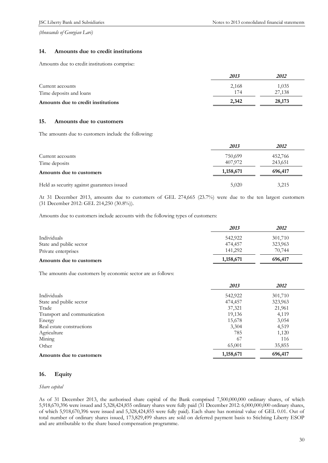### **14. Amounts due to credit institutions**

Amounts due to credit institutions comprise:

|                                             | 2013         | <i>2012</i>     |
|---------------------------------------------|--------------|-----------------|
| Current accounts<br>Time deposits and loans | 2.168<br>174 | 1,035<br>27,138 |
| Amounts due to credit institutions          | 2.342        | 28,173          |

### **15. Amounts due to customers**

The amounts due to customers include the following:

|                                            | 2013      | 2012    |
|--------------------------------------------|-----------|---------|
| Current accounts                           | 750,699   | 452,766 |
| Time deposits                              | 407,972   | 243,651 |
| Amounts due to customers                   | 1,158,671 | 696,417 |
| Held as security against guarantees issued | 5,020     | 3,215   |

At 31 December 2013, amounts due to customers of GEL 274,665 (23.7%) were due to the ten largest customers (31 December 2012: GEL 214,250 (30.8%)).

Amounts due to customers include accounts with the following types of customers:

|                          | 2013      | 2012    |
|--------------------------|-----------|---------|
| Individuals              | 542,922   | 301,710 |
| State and public sector  | 474,457   | 323,963 |
| Private enterprises      | 141.292   | 70.744  |
| Amounts due to customers | 1,158,671 | 696,417 |

The amounts due customers by economic sector are as follows:

|                             | 2013      | 2012    |
|-----------------------------|-----------|---------|
| Individuals                 | 542,922   | 301,710 |
| State and public sector     | 474,457   | 323,963 |
| Trade                       | 37,321    | 21,961  |
| Transport and communication | 19,136    | 4,119   |
| Energy                      | 15,678    | 3,054   |
| Real estate constructions   | 3,304     | 4,519   |
| Agriculture                 | 785       | 1,120   |
| Mining                      | 67        | 116     |
| Other                       | 65,001    | 35,855  |
| Amounts due to customers    | 1,158,671 | 696,417 |

# **16. Equity**

### *Share capital*

As of 31 December 2013, the authorised share capital of the Bank comprised 7,500,000,000 ordinary shares, of which 5,918,670,396 were issued and 5,328,424,855 ordinary shares were fully paid (31 December 2012: 6,000,000,000 ordinary shares, of which 5,918,670,396 were issued and 5,328,424,855 were fully paid). Each share has nominal value of GEL 0.01. Out of total number of ordinary shares issued, 173,829,499 shares are sold on deferred payment basis to Stichting Liberty ESOP and are attributable to the share based compensation programme.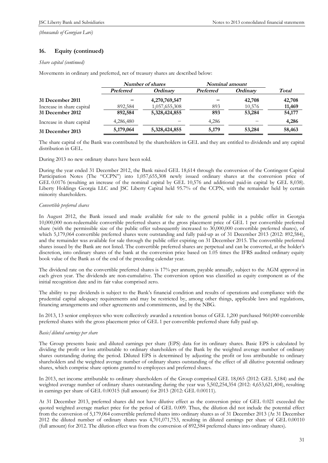# **16. Equity (continued)**

### *Share capital (continued)*

Movements in ordinary and preferred, net of treasury shares are described below:

|                           | Number of shares |                        | Nominal amount   |          |              |
|---------------------------|------------------|------------------------|------------------|----------|--------------|
|                           | <b>Preferred</b> | <i><b>Ordinary</b></i> | <b>Preferred</b> | Ordinary | <b>Total</b> |
| 31 December 2011          |                  | 4,270,769,547          |                  | 42,708   | 42,708       |
| Increase in share capital | 892,584          | 1,057,655,308          | 893              | 10,576   | 11,469       |
| 31 December 2012          | 892,584          | 5,328,424,855          | 893              | 53,284   | 54,177       |
| Increase in share capital | 4,286,480        |                        | 4,286            |          | 4,286        |
| 31 December 2013          | 5,179,064        | 5,328,424,855          | 5,179            | 53,284   | 58,463       |

The share capital of the Bank was contributed by the shareholders in GEL and they are entitled to dividends and any capital distribution in GEL.

During 2013 no new ordinary shares have been sold.

During the year ended 31 December 2012, the Bank raised GEL 18,614 through the conversion of the Contingent Capital Participation Notes (The "CCPN") into 1,057,655,308 newly issued ordinary shares at the conversion price of GEL 0.0176 (resulting an increase of the nominal capital by GEL 10,576 and additional paid-in capital by GEL 8,038). Liberty Holdings Georgia LLC and JSC Liberty Capital held 95.7% of the CCPN, with the remainder held by certain minority shareholders.

### *Convertible preferred shares*

In August 2012, the Bank issued and made available for sale to the general public in a public offer in Georgia 10,000,000 non-redeemable convertible preferred shares at the gross placement price of GEL 1 per convertible preferred share (with the permissible size of the public offer subsequently increased to 30,000,000 convertible preferred shares), of which 5,179,064 convertible preferred shares were outstanding and fully paid-up as of 31 December 2013 (2012: 892,584), and the remainder was available for sale through the public offer expiring on 31 December 2015. The convertible preferred shares issued by the Bank are not listed. The convertible preferred shares are perpetual and can be converted, at the holder's discretion, into ordinary shares of the bank at the conversion price based on 1.05 times the IFRS audited ordinary equity book value of the Bank as of the end of the preceding calendar year.

The dividend rate on the convertible preferred shares is 17% per annum, payable annually, subject to the AGM approval in each given year. The dividends are non-cumulative. The conversion option was classified as equity component as of the initial recognition date and its fair value comprised zero.

The ability to pay dividends is subject to the Bank's financial condition and results of operations and compliance with the prudential capital adequacy requirements and may be restricted by, among other things, applicable laws and regulations, financing arrangements and other agreements and commitments, and by the NBG.

In 2013, 13 senior employees who were collectively awarded a retention bonus of GEL 1,200 purchased 960,000 convertible preferred shares with the gross placement price of GEL 1 per convertible preferred share fully paid up.

### *Basic/diluted earnings per share*

The Group presents basic and diluted earnings per share (EPS) data for its ordinary shares. Basic EPS is calculated by dividing the profit or loss attributable to ordinary shareholders of the Bank by the weighted average number of ordinary shares outstanding during the period. Diluted EPS is determined by adjusting the profit or loss attributable to ordinary shareholders and the weighted average number of ordinary shares outstanding of the effect of all dilutive potential ordinary shares, which comprise share options granted to employees and preferred shares.

In 2013, net income attributable to ordinary shareholders of the Group comprised GEL 18,065 (2012: GEL 5,184) and the weighted average number of ordinary shares outstanding during the year was 5,502,254,354 (2012: 4,653,621,404), resulting in earnings per share of GEL 0.00315 (full amount) for 2013 (2012: GEL 0.00111).

At 31 December 2013, preferred shares did not have dilutive effect as the conversion price of GEL 0.021 exceeded the quoted weighted average market price for the period of GEL 0.009. Thus, the dilution did not include the potential effect from the conversion of 5,179,064 convertible preferred shares into ordinary shares as of 31 December 2013 (At 31 December 2012 the diluted number of ordinary shares was 4,701,071,753, resulting in diluted earnings per share of GEL 0.00110 (full amount) for 2012. The dilution effect was from the conversion of 892,584 preferred shares into ordinary shares).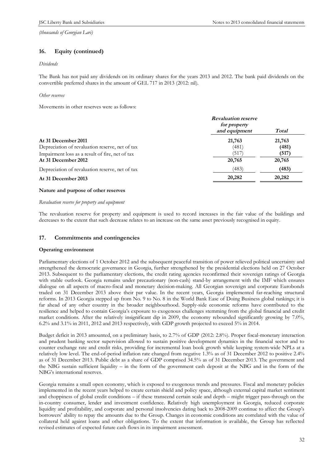# **16. Equity (continued)**

### *Dividends*

The Bank has not paid any dividends on its ordinary shares for the years 2013 and 2012. The bank paid dividends on the convertible preferred shares in the amount of GEL 717 in 2013 (2012: nil).

### *Other reserves*

Movements in other reserves were as follows:

|                                                 | <b>Revaluation reserve</b><br>for property<br>and equipment | Total  |
|-------------------------------------------------|-------------------------------------------------------------|--------|
| At 31 December 2011                             | 21,763                                                      | 21,763 |
| Depreciation of revaluation reserve, net of tax | (481)                                                       | (481)  |
| Impairment loss as a result of fire, net of tax | (517)                                                       | (517)  |
| At 31 December 2012                             | 20,765                                                      | 20,765 |
| Depreciation of revaluation reserve, net of tax | (483)                                                       | (483)  |
| At 31 December 2013                             | 20,282                                                      | 20,282 |

### **Nature and purpose of other reserves**

#### *Revaluation reserve for property and equipment*

The revaluation reserve for property and equipment is used to record increases in the fair value of the buildings and decreases to the extent that such decrease relates to an increase on the same asset previously recognised in equity.

# **17. Commitments and contingencies**

### **Operating environment**

Parliamentary elections of 1 October 2012 and the subsequent peaceful transition of power relieved political uncertainty and strengthened the democratic governance in Georgia, further strengthened by the presidential elections held on 27 October 2013. Subsequent to the parliamentary elections, the credit rating agencies reconfirmed their sovereign ratings of Georgia with stable outlook. Georgia remains under precautionary (non-cash) stand-by arrangement with the IMF which ensures dialogue on all aspects of macro-fiscal and monetary decision-making. All Georgian sovereign and corporate Eurobonds traded on 31 December 2013 above their par value. In the recent years, Georgia implemented far-reaching structural reforms. In 2013 Georgia stepped up from No. 9 to No. 8 in the World Bank Ease of Doing Business global rankings; it is far ahead of any other country in the broader neighbourhood. Supply-side economic reforms have contributed to the resilience and helped to contain Georgia's exposure to exogenous challenges stemming from the global financial and credit market conditions. After the relatively insignificant dip in 2009, the economy rebounded significantly growing by 7.0%, 6.2% and 3.1% in 2011, 2012 and 2013 respectively, with GDP growth projected to exceed 5% in 2014.

Budget deficit in 2013 amounted, on a preliminary basis, to 2.7% of GDP (2012: 2.8%). Proper fiscal-monetary interaction and prudent banking sector supervision allowed to sustain positive development dynamics in the financial sector and to counter exchange rate and credit risks, providing for incremental loan book growth while keeping system-wide NPLs at a relatively low level. The end-of-period inflation rate changed from negative 1.3% as of 31 December 2012 to positive 2.4% as of 31 December 2013. Public debt as a share of GDP comprised 34.5% as of 31 December 2013. The government and the NBG sustain sufficient liquidity – in the form of the government cash deposit at the NBG and in the form of the NBG's international reserves.

Georgia remains a small open economy, which is exposed to exogenous trends and pressures. Fiscal and monetary policies implemented in the recent years helped to create certain shield and policy space, although external capital market sentiment and choppiness of global credit conditions – if these transcend certain scale and depth – might trigger pass-through on the in-country consumer, lender and investment confidence. Relatively high unemployment in Georgia, reduced corporate liquidity and profitability, and corporate and personal insolvencies dating back to 2008-2009 continue to affect the Group's borrowers' ability to repay the amounts due to the Group. Changes in economic conditions are correlated with the value of collateral held against loans and other obligations. To the extent that information is available, the Group has reflected revised estimates of expected future cash flows in its impairment assessment.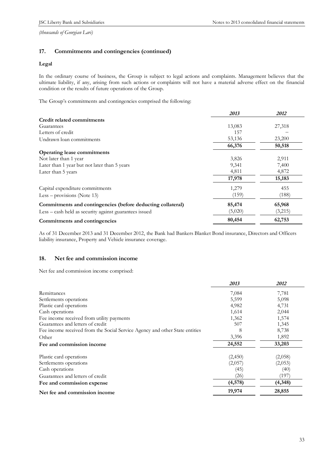# **17. Commitments and contingencies (continued)**

### **Legal**

In the ordinary course of business, the Group is subject to legal actions and complaints. Management believes that the ultimate liability, if any, arising from such actions or complaints will not have a material adverse effect on the financial condition or the results of future operations of the Group.

The Group's commitments and contingencies comprised the following:

|                                                             | 2013    | 2012    |
|-------------------------------------------------------------|---------|---------|
| Credit related commitments                                  |         |         |
| Guarantees                                                  | 13,083  | 27,318  |
| Letters of credit                                           | 157     |         |
| Undrawn loan commitments                                    | 53,136  | 23,200  |
|                                                             | 66,376  | 50,518  |
| <b>Operating lease commitments</b>                          |         |         |
| Not later than 1 year                                       | 3,826   | 2,911   |
| Later than 1 year but not later than 5 years                | 9,341   | 7,400   |
| Later than 5 years                                          | 4,811   | 4,872   |
|                                                             | 17,978  | 15,183  |
| Capital expenditure commitments                             | 1,279   | 455     |
| Less – provisions (Note 13)                                 | (159)   | (188)   |
| Commitments and contingencies (before deducting collateral) | 85,474  | 65,968  |
| Less – cash held as security against guarantees issued      | (5,020) | (3,215) |
| Commitments and contingencies                               | 80,454  | 62,753  |

As of 31 December 2013 and 31 December 2012, the Bank had Bankers Blanket Bond insurance, Directors and Officers liability insurance, Property and Vehicle insurance coverage.

### **18. Net fee and commission income**

Net fee and commission income comprised:

|                                                                             | 2013     | 2012     |
|-----------------------------------------------------------------------------|----------|----------|
| Remittances                                                                 | 7,084    | 7,781    |
| Settlements operations                                                      | 5,599    | 5,098    |
| Plastic card operations                                                     | 4,982    | 4,731    |
| Cash operations                                                             | 1,614    | 2,044    |
| Fee income received from utility payments                                   | 1,362    | 1,574    |
| Guarantees and letters of credit                                            | 507      | 1,345    |
| Fee income received from the Social Service Agency and other State entities | 8        | 8,738    |
| Other                                                                       | 3,396    | 1,892    |
| Fee and commission income                                                   | 24,552   | 33,203   |
| Plastic card operations                                                     | (2,450)  | (2,058)  |
| Settlements operations                                                      | (2,057)  | (2,053)  |
| Cash operations                                                             | (45)     | (40)     |
| Guarantees and letters of credit                                            | (26)     | (197)    |
| Fee and commission expense                                                  | (4, 578) | (4, 348) |
| Net fee and commission income                                               | 19,974   | 28,855   |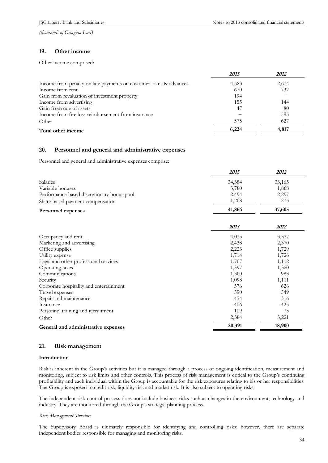### **19. Other income**

Other income comprised:

|                                                                   | 2013  | 2012  |
|-------------------------------------------------------------------|-------|-------|
| Income from penalty on late payments on customer loans & advances | 4.583 | 2,634 |
| Income from rent                                                  | 670   | 737   |
| Gain from revaluation of investment property                      | 194   |       |
| Income from advertising                                           | 155   | 144   |
| Gain from sale of assets                                          | 47    | 80    |
| Income from fire loss reimbursement from insurance                |       | 595   |
| Other                                                             | 575   | 627   |
| Total other income                                                | 6,224 | 4,817 |

### **20. Personnel and general and administrative expenses**

Personnel and general and administrative expenses comprise:

|                                            | 2013   | 2012   |
|--------------------------------------------|--------|--------|
| Salaries                                   | 34,384 | 33,165 |
| Variable bonuses                           | 3,780  | 1,868  |
| Performance based discretionary bonus pool | 2,494  | 2,297  |
| Share based payment compensation           | 1,208  | 275    |
| Personnel expenses                         | 41,866 | 37,605 |
|                                            | 2013   | 2012   |
| Occupancy and rent                         | 4,035  | 3,337  |
| Marketing and advertising                  | 2,438  | 2,370  |
| Office supplies                            | 2,223  | 1,729  |
| Utility expense                            | 1,714  | 1,726  |
| Legal and other professional services      | 1,707  | 1,112  |
| Operating taxes                            | 1,397  | 1,320  |
| Communications                             | 1,300  | 983    |
| Security                                   | 1,098  | 1,111  |
| Corporate hospitality and entertainment    | 576    | 626    |
| Travel expenses                            | 550    | 549    |
| Repair and maintenance                     | 454    | 316    |
| Insurance                                  | 406    | 425    |
| Personnel training and recruitment         | 109    | 75     |
| Other                                      | 2,384  | 3,221  |
| General and administrative expenses        | 20,391 | 18,900 |

### **21. Risk management**

#### **Introduction**

Risk is inherent in the Group's activities but it is managed through a process of ongoing identification, measurement and monitoring, subject to risk limits and other controls. This process of risk management is critical to the Group's continuing profitability and each individual within the Group is accountable for the risk exposures relating to his or her responsibilities. The Group is exposed to credit risk, liquidity risk and market risk. It is also subject to operating risks.

The independent risk control process does not include business risks such as changes in the environment, technology and industry. They are monitored through the Group's strategic planning process.

#### *Risk Management Structure*

The Supervisory Board is ultimately responsible for identifying and controlling risks; however, there are separate independent bodies responsible for managing and monitoring risks.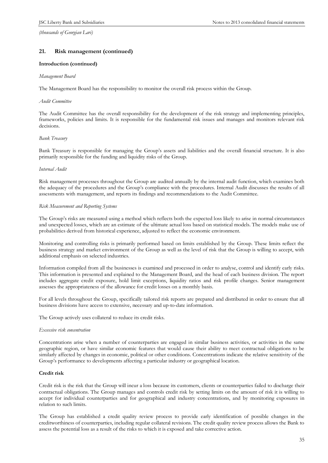# **21. Risk management (continued)**

#### **Introduction (continued)**

#### *Management Board*

The Management Board has the responsibility to monitor the overall risk process within the Group.

#### *Audit Committee*

The Audit Committee has the overall responsibility for the development of the risk strategy and implementing principles, frameworks, policies and limits. It is responsible for the fundamental risk issues and manages and monitors relevant risk decisions.

#### *Bank Treasury*

Bank Treasury is responsible for managing the Group's assets and liabilities and the overall financial structure. It is also primarily responsible for the funding and liquidity risks of the Group.

#### *Internal Audit*

Risk management processes throughout the Group are audited annually by the internal audit function, which examines both the adequacy of the procedures and the Group's compliance with the procedures. Internal Audit discusses the results of all assessments with management, and reports its findings and recommendations to the Audit Committee.

#### *Risk Measurement and Reporting Systems*

The Group's risks are measured using a method which reflects both the expected loss likely to arise in normal circumstances and unexpected losses, which are an estimate of the ultimate actual loss based on statistical models. The models make use of probabilities derived from historical experience, adjusted to reflect the economic environment.

Monitoring and controlling risks is primarily performed based on limits established by the Group. These limits reflect the business strategy and market environment of the Group as well as the level of risk that the Group is willing to accept, with additional emphasis on selected industries.

Information compiled from all the businesses is examined and processed in order to analyse, control and identify early risks. This information is presented and explained to the Management Board, and the head of each business division. The report includes aggregate credit exposure, hold limit exceptions, liquidity ratios and risk profile changes. Senior management assesses the appropriateness of the allowance for credit losses on a monthly basis.

For all levels throughout the Group, specifically tailored risk reports are prepared and distributed in order to ensure that all business divisions have access to extensive, necessary and up-to-date information.

The Group actively uses collateral to reduce its credit risks.

#### *Excessive risk concentration*

Concentrations arise when a number of counterparties are engaged in similar business activities, or activities in the same geographic region, or have similar economic features that would cause their ability to meet contractual obligations to be similarly affected by changes in economic, political or other conditions. Concentrations indicate the relative sensitivity of the Group's performance to developments affecting a particular industry or geographical location.

#### **Credit risk**

Credit risk is the risk that the Group will incur a loss because its customers, clients or counterparties failed to discharge their contractual obligations. The Group manages and controls credit risk by setting limits on the amount of risk it is willing to accept for individual counterparties and for geographical and industry concentrations, and by monitoring exposures in relation to such limits.

The Group has established a credit quality review process to provide early identification of possible changes in the creditworthiness of counterparties, including regular collateral revisions. The credit quality review process allows the Bank to assess the potential loss as a result of the risks to which it is exposed and take corrective action.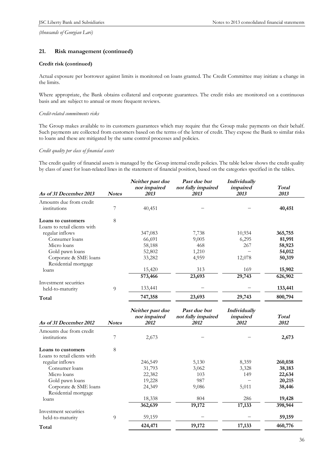# **21. Risk management (continued)**

### **Credit risk (continued)**

Actual exposure per borrower against limits is monitored on loans granted. The Credit Committee may initiate a change in the limits.

Where appropriate, the Bank obtains collateral and corporate guarantees. The credit risks are monitored on a continuous basis and are subject to annual or more frequent reviews.

### *Credit-related commitments risks*

The Group makes available to its customers guarantees which may require that the Group make payments on their behalf. Such payments are collected from customers based on the terms of the letter of credit. They expose the Bank to similar risks to loans and these are mitigated by the same control processes and policies.

### *Credit quality per class of financial assets*

Residential mortgage

Investment securities

The credit quality of financial assets is managed by the Group internal credit policies. The table below shows the credit quality by class of asset for loan-related lines in the statement of financial position, based on the categories specified in the tables.

| As of 31 December 2013<br><b>Notes</b><br>Amounts due from credit<br>7<br>institutions |              | Neither past due<br>nor impaired<br>2013 | Past due but<br>not fully impaired<br>2013 | Individually<br>impaired<br>2013 | Total<br>2013 |  |
|----------------------------------------------------------------------------------------|--------------|------------------------------------------|--------------------------------------------|----------------------------------|---------------|--|
|                                                                                        |              | 40,451                                   |                                            |                                  | 40,451        |  |
| Loans to customers<br>Loans to retail clients with                                     | 8            |                                          |                                            |                                  |               |  |
| regular inflows                                                                        |              | 347,083                                  | 7,738                                      | 10,934                           | 365,755       |  |
| Consumer loans                                                                         |              | 66,691                                   | 9,005                                      | 6,295                            | 81,991        |  |
| Micro loans                                                                            |              | 58,188                                   | 468                                        | 267                              | 58,923        |  |
| Gold pawn loans                                                                        |              | 52,802                                   | 1,210                                      |                                  | 54,012        |  |
| Corporate & SME loans<br>Residential mortgage                                          |              | 33,282                                   | 4,959                                      | 12,078                           | 50,319        |  |
| loans                                                                                  |              | 15,420                                   | 313                                        | 169                              | 15,902        |  |
|                                                                                        |              | 573,466                                  | 23,693                                     | 29,743                           | 626,902       |  |
| Investment securities<br>held-to-maturity                                              | 9            | 133,441                                  |                                            |                                  | 133,441       |  |
| Total                                                                                  |              | 747,358                                  | 23,693                                     | 29,743                           | 800,794       |  |
| As of 31 December 2012                                                                 | <b>Notes</b> | Neither past due<br>nor impaired<br>2012 | Past due but<br>not fully impaired<br>2012 | Individually<br>impaired<br>2012 | Total<br>2012 |  |
| Amounts due from credit<br>institutions                                                | 7            | 2,673                                    |                                            |                                  | 2,673         |  |
| Loans to customers<br>Loans to retail clients with                                     | 8            |                                          |                                            |                                  |               |  |
| regular inflows                                                                        |              | 246,549                                  | 5,130                                      | 8,359                            | 260,038       |  |
| Consumer loans                                                                         |              | 31,793                                   | 3,062                                      | 3,328                            | 38,183        |  |

Micro loans **22,382** 103 149 **22,634** Gold pawn loans 19,228 987 − **20,215** Corporate & SME loans 24,349 9,086 5,011 **38,446** 

loans 18,338 804 286 **19,428**

held-to-maturity 9 59,159 − − 59,159 **Total 424,471 19,172 17,133 460,776**

**362,639 19,172 17,133 398,944**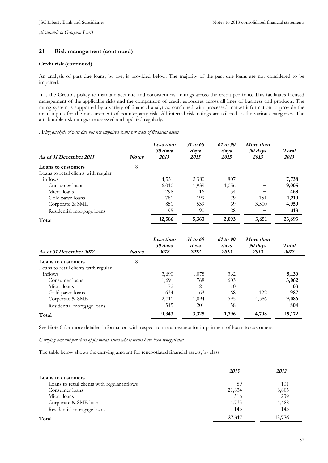# **21. Risk management (continued)**

### **Credit risk (continued)**

An analysis of past due loans, by age, is provided below. The majority of the past due loans are not considered to be impaired.

It is the Group's policy to maintain accurate and consistent risk ratings across the credit portfolio. This facilitates focused management of the applicable risks and the comparison of credit exposures across all lines of business and products. The rating system is supported by a variety of financial analytics, combined with processed market information to provide the main inputs for the measurement of counterparty risk. All internal risk ratings are tailored to the various categories. The attributable risk ratings are assessed and updated regularly.

*Aging analysis of past due but not impaired loans per class of financial assets*

| As of 31 December 2013               | <b>Notes</b> | Less than<br>30 days<br>2013 | 31 to 60<br>days<br>2013 | 61 to 90<br>days<br>2013 | More than<br>90 days<br>2013 | <b>Total</b><br>2013 |
|--------------------------------------|--------------|------------------------------|--------------------------|--------------------------|------------------------------|----------------------|
| Loans to customers                   | 8            |                              |                          |                          |                              |                      |
| Loans to retail clients with regular |              |                              |                          |                          |                              |                      |
| inflows                              |              | 4,551                        | 2,380                    | 807                      |                              | 7,738                |
| Consumer loans                       |              | 6,010                        | 1,939                    | 1,056                    |                              | 9,005                |
| Micro loans                          |              | 298                          | 116                      | 54                       |                              | 468                  |
| Gold pawn loans                      |              | 781                          | 199                      | 79                       | 151                          | 1,210                |
| Corporate & SME                      |              | 851                          | 539                      | 69                       | 3,500                        | 4,959                |
| Residential mortgage loans           |              | 95                           | 190                      | 28                       |                              | 313                  |
| Total                                |              | 12,586                       | 5,363                    | 2,093                    | 3,651                        | 23,693               |
| As of 31 December 2012               | <b>Notes</b> | Less than<br>30 days<br>2012 | 31 to 60<br>days<br>2012 | 61 to 90<br>days<br>2012 | More than<br>90 days<br>2012 | <b>Total</b><br>2012 |
| Loans to customers                   | 8            |                              |                          |                          |                              |                      |
| Loans to retail clients with regular |              |                              |                          |                          |                              |                      |
| inflows                              |              | 3,690                        | 1,078                    | 362                      |                              | 5,130                |
| Consumer loans                       |              | 1,691                        | 768                      | 603                      |                              | 3,062                |
| Micro loans                          |              | 72                           | 21                       | 10                       |                              | 103                  |
| Gold pawn loans                      |              | 634                          | 163                      | 68                       | 122                          | 987                  |
| Corporate & SME                      |              | 2,711                        | 1,094                    | 695                      | 4,586                        | 9,086                |
| Residential mortgage loans           |              | 545                          | 201                      | 58                       |                              | 804                  |

**Total 9,343 3,325 1,796 4,708 19,172**

See Note 8 for more detailed information with respect to the allowance for impairment of loans to customers.

*Carrying amount per class of financial assets whose terms have been renegotiated*

The table below shows the carrying amount for renegotiated financial assets, by class.

|                                              | 2013   | 2012   |
|----------------------------------------------|--------|--------|
| Loans to customers                           |        |        |
| Loans to retail clients with regular inflows | 89     | 101    |
| Consumer loans                               | 21,834 | 8,805  |
| Micro loans                                  | 516    | 239    |
| Corporate & SME loans                        | 4,735  | 4,488  |
| Residential mortgage loans                   | 143    | 143    |
| Total                                        | 27,317 | 13,776 |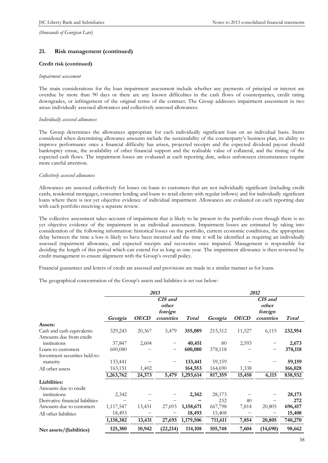# **21. Risk management (continued)**

#### **Credit risk (continued)**

#### *Impairment assessment*

The main considerations for the loan impairment assessment include whether any payments of principal or interest are overdue by more than 90 days or there are any known difficulties in the cash flows of counterparties, credit rating downgrades, or infringement of the original terms of the contract. The Group addresses impairment assessment in two areas: individually assessed allowances and collectively assessed allowances.

#### *Individually assessed allowances*

The Group determines the allowances appropriate for each individually significant loan on an individual basis. Items considered when determining allowance amounts include the sustainability of the counterparty's business plan, its ability to improve performance once a financial difficulty has arisen, projected receipts and the expected dividend payout should bankruptcy ensue, the availability of other financial support and the realisable value of collateral, and the timing of the expected cash flows. The impairment losses are evaluated at each reporting date, unless unforeseen circumstances require more careful attention.

#### *Collectively assessed allowances*

Allowances are assessed collectively for losses on loans to customers that are not individually significant (including credit cards, residential mortgages, consumer lending and loans to retail clients with regular inflows) and for individually significant loans where there is not yet objective evidence of individual impairment. Allowances are evaluated on each reporting date with each portfolio receiving a separate review.

The collective assessment takes account of impairment that is likely to be present in the portfolio even though there is no yet objective evidence of the impairment in an individual assessment. Impairment losses are estimated by taking into consideration of the following information: historical losses on the portfolio, current economic conditions, the appropriate delay between the time a loss is likely to have been incurred and the time it will be identified as requiring an individually assessed impairment allowance, and expected receipts and recoveries once impaired. Management is responsible for deciding the length of this period which can extend for as long as one year. The impairment allowance is then reviewed by credit management to ensure alignment with the Group's overall policy.

Financial guarantees and letters of credit are assessed and provisions are made in a similar manner as for loans.

The geographical concentration of the Group's assets and liabilities is set out below:

|                                  | 2013      |             |                  |              |         | 2012        |                  |              |
|----------------------------------|-----------|-------------|------------------|--------------|---------|-------------|------------------|--------------|
|                                  |           |             | CIS and<br>other |              |         |             | CIS and<br>other |              |
|                                  |           |             | foreign          |              |         |             | foreign          |              |
|                                  | Georgia   | <b>OECD</b> | countries        | <b>Total</b> | Georgia | <b>OECD</b> | countries        | <b>Total</b> |
| Assets:                          |           |             |                  |              |         |             |                  |              |
| Cash and cash equivalents        | 329,243   | 20,367      | 5,479            | 355,089      | 215,312 | 11,527      | 6,115            | 232,954      |
| Amounts due from credit          |           |             |                  |              |         |             |                  |              |
| institutions                     | 37,847    | 2,604       | —                | 40,451       | 80      | 2,593       |                  | 2,673        |
| Loans to customers               | 600,080   |             | $\qquad \qquad$  | 600,080      | 378,118 |             | —                | 378,118      |
| Investment securities held-to-   |           |             |                  |              |         |             |                  |              |
| maturity                         | 133,441   |             |                  | 133,441      | 59,159  |             |                  | 59,159       |
| All other assets                 | 163,151   | 1,402       |                  | 164,553      | 164,690 | 1,338       |                  | 166,028      |
|                                  | 1,263,762 | 24,373      | 5,479            | 1,293,614    | 817,359 | 15,458      | 6,115            | 838,932      |
| Liabilities:                     |           |             |                  |              |         |             |                  |              |
| Amounts due to credit            |           |             |                  |              |         |             |                  |              |
| institutions                     | 2,342     |             |                  | 2,342        | 28,173  |             |                  | 28,173       |
| Derivative financial liabilities |           |             |                  |              | 232     | 40          |                  | 272          |
| Amounts due to customers         | 1,117,547 | 13,431      | 27,693           | 1,158,671    | 667,798 | 7,814       | 20,805           | 696,417      |
| All other liabilities            | 18,493    |             |                  | 18,493       | 15,408  |             |                  | 15,408       |
|                                  | 1,138,382 | 13,431      | 27,693           | 1,179,506    | 711,611 | 7,854       | 20,805           | 740,270      |
| Net assets/(liabilities)         | 125,380   | 10,942      | (22, 214)        | 114,108      | 105,748 | 7,604       | (14,690)         | 98,662       |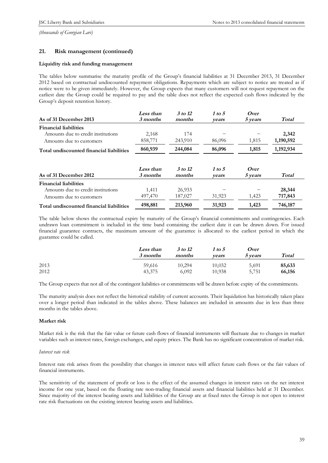# **21. Risk management (continued)**

### **Liquidity risk and funding management**

The tables below summarise the maturity profile of the Group's financial liabilities at 31 December 2013, 31 December 2012 based on contractual undiscounted repayment obligations. Repayments which are subject to notice are treated as if notice were to be given immediately. However, the Group expects that many customers will not request repayment on the earliest date the Group could be required to pay and the table does not reflect the expected cash flows indicated by the Group's deposit retention history.

| As of 31 December 2013                                             | Less than<br>3 months | 3 to 12<br>months | 1 to 5<br>years | Over<br>5 years | Total     |
|--------------------------------------------------------------------|-----------------------|-------------------|-----------------|-----------------|-----------|
| <b>Financial liabilities</b><br>Amounts due to credit institutions | 2,168                 | 174               |                 |                 | 2,342     |
| Amounts due to customers                                           | 858,771               | 243,910           | 86,096          | 1,815           | 1,190,592 |
| Total undiscounted financial liabilities                           | 860,939               | 244,084           | 86,096          | 1,815           | 1,192,934 |
| As of 31 December 2012                                             | Less than<br>3 months | 3 to 12<br>months | 1 to 5<br>vears | Over<br>5 years | Total     |
| <b>Financial liabilities</b>                                       |                       |                   |                 |                 |           |
| Amounts due to credit institutions                                 | 1,411                 | 26,933            |                 |                 | 28,344    |
| Amounts due to customers                                           | 497,470               | 187,027           | 31,923          | 1,423           | 717,843   |
| Total undiscounted financial liabilities                           | 498,881               | 213,960           | 31,923          | 1,423           | 746,187   |

The table below shows the contractual expiry by maturity of the Group's financial commitments and contingencies. Each undrawn loan commitment is included in the time band containing the earliest date it can be drawn down. For issued financial guarantee contracts, the maximum amount of the guarantee is allocated to the earliest period in which the guarantee could be called.

|      | Less than<br>3 months | 3 to 12<br>months | 1 to 5<br>vears | <i>Over</i><br>5 years | Total  |
|------|-----------------------|-------------------|-----------------|------------------------|--------|
| 2013 | 59.616                | 10.294            | 10,032          | 5,691                  | 85,633 |
| 2012 | 43,375                | 6.092             | 10,938          | 5,751                  | 66,156 |

The Group expects that not all of the contingent liabilities or commitments will be drawn before expiry of the commitments.

The maturity analysis does not reflect the historical stability of current accounts. Their liquidation has historically taken place over a longer period than indicated in the tables above. These balances are included in amounts due in less than three months in the tables above.

## **Market risk**

Market risk is the risk that the fair value or future cash flows of financial instruments will fluctuate due to changes in market variables such as interest rates, foreign exchanges, and equity prices. The Bank has no significant concentration of market risk.

#### *Interest rate risk*

Interest rate risk arises from the possibility that changes in interest rates will affect future cash flows or the fair values of financial instruments.

The sensitivity of the statement of profit or loss is the effect of the assumed changes in interest rates on the net interest income for one year, based on the floating rate non-trading financial assets and financial liabilities held at 31 December. Since majority of the interest bearing assets and liabilities of the Group are at fixed rates the Group is not open to interest rate risk fluctuations on the existing interest bearing assets and liabilities.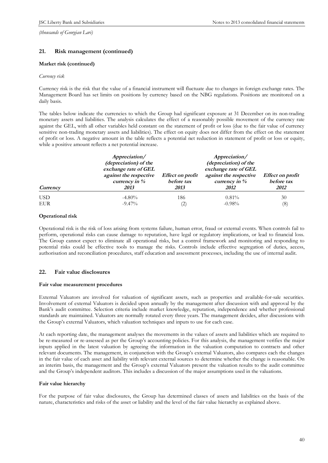# **21. Risk management (continued)**

#### **Market risk (continued)**

#### *Currency risk*

Currency risk is the risk that the value of a financial instrument will fluctuate due to changes in foreign exchange rates. The Management Board has set limits on positions by currency based on the NBG regulations. Positions are monitored on a daily basis.

The tables below indicate the currencies to which the Group had significant exposure at 31 December on its non-trading monetary assets and liabilities. The analysis calculates the effect of a reasonably possible movement of the currency rate against the GEL, with all other variables held constant on the statement of profit or loss (due to the fair value of currency sensitive non-trading monetary assets and liabilities). The effect on equity does not differ from the effect on the statement of profit or loss. A negative amount in the table reflects a potential net reduction in statement of profit or loss or equity, while a positive amount reflects a net potential increase.

|            | Appreciation/<br>(depreciation) of the<br>exchange rate of GEL |                  | Appreciation/<br>(depreciation) of the<br>exchange rate of GEL |                         |
|------------|----------------------------------------------------------------|------------------|----------------------------------------------------------------|-------------------------|
| Currency   | against the respective                                         | Effect on profit | against the respective                                         | <i>Effect on profit</i> |
|            | currency in $%$                                                | before tax       | currency in $%$                                                | before tax              |
|            | 2013                                                           | 2013             | 2012                                                           | <i>2012</i>             |
| USD        | $-4.80\%$                                                      | 186              | 0.81%                                                          | 30                      |
| <b>EUR</b> | $-9.47\%$                                                      | (2)              | $-0.98%$                                                       | (8)                     |

### **Operational risk**

Operational risk is the risk of loss arising from systems failure, human error, fraud or external events. When controls fail to perform, operational risks can cause damage to reputation, have legal or regulatory implications, or lead to financial loss. The Group cannot expect to eliminate all operational risks, but a control framework and monitoring and responding to potential risks could be effective tools to manage the risks. Controls include effective segregation of duties, access, authorisation and reconciliation procedures, staff education and assessment processes, including the use of internal audit.

### **22. Fair value disclosures**

### **Fair value measurement procedures**

External Valuators are involved for valuation of significant assets, such as properties and available-for-sale securities. Involvement of external Valuators is decided upon annually by the management after discussion with and approval by the Bank's audit committee. Selection criteria include market knowledge, reputation, independence and whether professional standards are maintained. Valuators are normally rotated every three years. The management decides, after discussions with the Group's external Valuators, which valuation techniques and inputs to use for each case.

At each reporting date, the management analyses the movements in the values of assets and liabilities which are required to be re-measured or re-assessed as per the Group's accounting policies. For this analysis, the management verifies the major inputs applied in the latest valuation by agreeing the information in the valuation computation to contracts and other relevant documents. The management, in conjunction with the Group's external Valuators, also compares each the changes in the fair value of each asset and liability with relevant external sources to determine whether the change is reasonable. On an interim basis, the management and the Group's external Valuators present the valuation results to the audit committee and the Group's independent auditors. This includes a discussion of the major assumptions used in the valuations.

#### **Fair value hierarchy**

For the purpose of fair value disclosures, the Group has determined classes of assets and liabilities on the basis of the nature, characteristics and risks of the asset or liability and the level of the fair value hierarchy as explained above.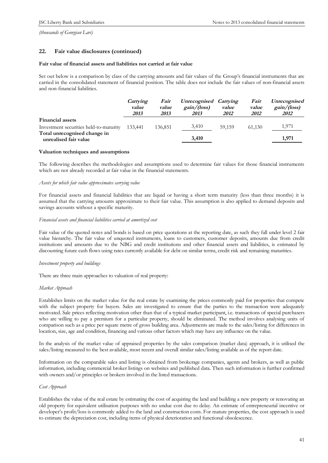### **22. Fair value disclosures (continued)**

# **Fair value of financial assets and liabilities not carried at fair value**

Set out below is a comparison by class of the carrying amounts and fair values of the Group's financial instruments that are carried in the consolidated statement of financial position. The table does not include the fair values of non-financial assets and non-financial liabilities.

|                                                       | Carrying<br>value<br>2013 | Fair<br>value<br>2013 | Unrecognised Carrying<br>$\frac{gain}{loss}$<br>2013 | value<br><i>2012</i> | Fair<br>value<br>2012 | Unrecognised<br>gain/loss)<br>2012 |
|-------------------------------------------------------|---------------------------|-----------------------|------------------------------------------------------|----------------------|-----------------------|------------------------------------|
| <b>Financial assets</b>                               |                           |                       |                                                      |                      |                       |                                    |
| Investment securities held-to-maturity                | 133.441                   | 136,851               | 3,410                                                | 59.159               | 61.130                | 1,971                              |
| Total unrecognised change in<br>unrealised fair value |                           |                       | 3,410                                                |                      |                       | 1,971                              |

#### **Valuation techniques and assumptions**

The following describes the methodologies and assumptions used to determine fair values for those financial instruments which are not already recorded at fair value in the financial statements.

#### *Assets for which fair value approximates carrying value*

For financial assets and financial liabilities that are liquid or having a short term maturity (less than three months) it is assumed that the carrying amounts approximate to their fair value. This assumption is also applied to demand deposits and savings accounts without a specific maturity.

### *Financial assets and financial liabilities carried at amortized cost*

Fair value of the quoted notes and bonds is based on price quotations at the reporting date, as such they fall under level 2 fair value hierarchy. The fair value of unquoted instruments, loans to customers, customer deposits, amounts due from credit institutions and amounts due to the NBG and credit institutions and other financial assets and liabilities, is estimated by discounting future cash flows using rates currently available for debt on similar terms, credit risk and remaining maturities.

#### *Investment property and buildings*

There are three main approaches to valuation of real property:

### *Market Approach*

Establishes limits on the market value for the real estate by examining the prices commonly paid for properties that compete with the subject property for buyers. Sales are investigated to ensure that the parties to the transaction were adequately motivated. Sale prices reflecting motivation other than that of a typical market participant, i.e. transactions of special purchasers who are willing to pay a premium for a particular property, should be eliminated. The method involves analysing units of comparison such as a price per square metre of gross building area. Adjustments are made to the sales/listing for differences in location, size, age and condition, financing and various other factors which may have any influence on the value.

In the analysis of the market value of appraised properties by the sales comparison (market data) approach, it is utilised the sales/listing measured to the best available, most recent and overall similar sales/listing available as of the report date.

Information on the comparable sales and listing is obtained from brokerage companies, agents and brokers, as well as public information, including commercial broker listings on websites and published data. Then such information is further confirmed with owners and/or principles or brokers involved in the listed transactions.

#### *Cost Approach*

Establishes the value of the real estate by estimating the cost of acquiring the land and building a new property or renovating an old property for equivalent utilisation purposes with no undue cost due to delay. An estimate of entrepreneurial incentive or developer's profit/loss is commonly added to the land and construction costs. For mature properties, the cost approach is used to estimate the depreciation cost, including items of physical deterioration and functional obsolescence.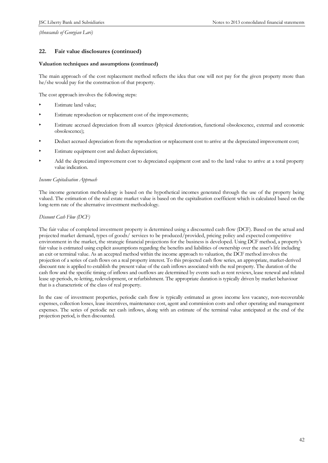# **22. Fair value disclosures (continued)**

### **Valuation techniques and assumptions (continued)**

The main approach of the cost replacement method reflects the idea that one will not pay for the given property more than he/she would pay for the construction of that property.

The cost approach involves the following steps:

- Estimate land value;
- Estimate reproduction or replacement cost of the improvements;
- Estimate accrued depreciation from all sources (physical deterioration, functional obsolescence, external and economic obsolescence);
- Deduct accrued depreciation from the reproduction or replacement cost to arrive at the depreciated improvement cost;
- Estimate equipment cost and deduct depreciation;
- Add the depreciated improvement cost to depreciated equipment cost and to the land value to arrive at a total property value indication.

#### *Income Capitalisation Approach*

The income generation methodology is based on the hypothetical incomes generated through the use of the property being valued. The estimation of the real estate market value is based on the capitalisation coefficient which is calculated based on the long-term rate of the alternative investment methodology.

### *Discount Cash Flow (DCF)*

The fair value of completed investment property is determined using a discounted cash flow (DCF). Based on the actual and projected market demand, types of goods/ services to be produced/provided, pricing policy and expected competitive environment in the market, the strategic financial projections for the business is developed. Using DCF method, a property's fair value is estimated using explicit assumptions regarding the benefits and liabilities of ownership over the asset's life including an exit or terminal value. As an accepted method within the income approach to valuation, the DCF method involves the projection of a series of cash flows on a real property interest. To this projected cash flow series, an appropriate, market-derived discount rate is applied to establish the present value of the cash inflows associated with the real property. The duration of the cash flow and the specific timing of inflows and outflows are determined by events such as rent reviews, lease renewal and related lease up periods, re-letting, redevelopment, or refurbishment. The appropriate duration is typically driven by market behaviour that is a characteristic of the class of real property.

In the case of investment properties, periodic cash flow is typically estimated as gross income less vacancy, non-recoverable expenses, collection losses, lease incentives, maintenance cost, agent and commission costs and other operating and management expenses. The series of periodic net cash inflows, along with an estimate of the terminal value anticipated at the end of the projection period, is then discounted.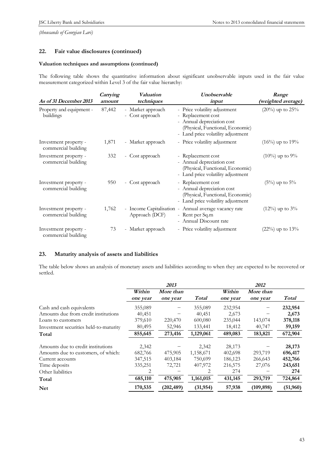# **22. Fair value disclosures (continued)**

### **Valuation techniques and assumptions (continued)**

The following table shows the quantitative information about significant unobservable inputs used in the fair value measurement categorized within Level 3 of the fair value hierarchy:

| As of 31 December 2013                       | Carrying<br>amount | Valuation<br>techniques                     | Unobservable<br>input                                                                                                                                       | Range<br>(weighted average) |
|----------------------------------------------|--------------------|---------------------------------------------|-------------------------------------------------------------------------------------------------------------------------------------------------------------|-----------------------------|
| Property and equipment -<br>buildings        | 87,442             | - Market approach<br>- Cost approach        | - Price volatility adjustment<br>- Replacement cost<br>- Annual depreciation cost<br>(Physical, Functional, Economic)<br>- Land price volatility adjustment | $(20\%)$ up to $25\%$       |
| Investment property -<br>commercial building | 1,871              | - Market approach                           | - Price volatility adjustment                                                                                                                               | $(16\%)$ up to $19\%$       |
| Investment property -<br>commercial building | 332                | - Cost approach                             | - Replacement cost<br>- Annual depreciation cost<br>(Physical, Functional, Economic)<br>- Land price volatility adjustment                                  | $(10\%)$ up to 9%           |
| Investment property -<br>commercial building | 950                | - Cost approach                             | - Replacement cost<br>- Annual depreciation cost<br>(Physical, Functional, Economic)<br>- Land price volatility adjustment                                  | $(5\%)$ up to $5\%$         |
| Investment property -<br>commercial building | 1,762              | - Income Capitalisation -<br>Approach (DCF) | Annual average vacancy rate<br>- Rent per Sq.m<br>- Annual Discount rate                                                                                    | $(12\%)$ up to $3\%$        |
| Investment property -<br>commercial building | 73                 | - Market approach                           | - Price volatility adjustment                                                                                                                               | $(22\%)$ up to $13\%$       |

# **23. Maturity analysis of assets and liabilities**

The table below shows an analysis of monetary assets and liabilities according to when they are expected to be recovered or settled.

|                                        | 2013     |            |              | 2012     |            |              |
|----------------------------------------|----------|------------|--------------|----------|------------|--------------|
|                                        | Within   | More than  |              | Within   | More than  |              |
|                                        | one year | one year   | <b>Total</b> | one year | one year   | <b>Total</b> |
| Cash and cash equivalents              | 355,089  |            | 355,089      | 232,954  |            | 232,954      |
| Amounts due from credit institutions   | 40,451   |            | 40,451       | 2,673    |            | 2,673        |
| Loans to customers                     | 379,610  | 220,470    | 600,080      | 235,044  | 143,074    | 378,118      |
| Investment securities held-to-maturity | 80,495   | 52,946     | 133,441      | 18,412   | 40,747     | 59,159       |
| Total                                  | 855,645  | 273,416    | 1,129,061    | 489,083  | 183,821    | 672,904      |
| Amounts due to credit institutions     | 2,342    |            | 2,342        | 28,173   |            | 28,173       |
| Amounts due to customers, of which:    | 682,766  | 475,905    | 1,158,671    | 402,698  | 293,719    | 696,417      |
| Current accounts                       | 347,515  | 403,184    | 750,699      | 186,123  | 266,643    | 452,766      |
| Time deposits                          | 335,251  | 72,721     | 407,972      | 216,575  | 27,076     | 243,651      |
| Other liabilities                      |          |            |              | 274      |            | 274          |
| Total                                  | 685,110  | 475,905    | 1,161,015    | 431,145  | 293,719    | 724,864      |
| <b>Net</b>                             | 170,535  | (202, 489) | (31, 954)    | 57,938   | (109, 898) | (51,960)     |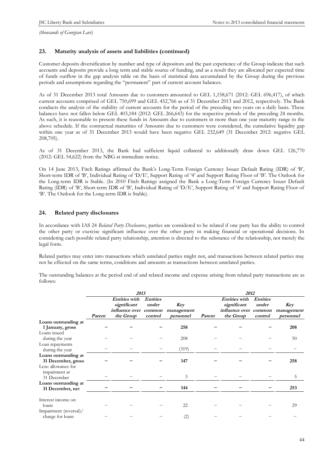### **23. Maturity analysis of assets and liabilities (continued)**

Customer deposits diversification by number and type of depositors and the past experience of the Group indicate that such accounts and deposits provide a long term and stable source of funding, and as a result they are allocated per expected time of funds outflow in the gap analysis table on the basis of statistical data accumulated by the Group during the previous periods and assumptions regarding the "permanent" part of current account balances.

As of 31 December 2013 total Amounts due to customers amounted to GEL 1,158,671 (2012: GEL 696,417), of which current accounts comprised of GEL 750,699 and GEL 452,766 as of 31 December 2013 and 2012, respectively. The Bank conducts the analysis of the stability of current accounts for the period of the preceding two years on a daily basis. These balances have not fallen below GEL 403,184 (2012: GEL 266,643) for the respective periods of the preceding 24 months. As such, it is reasonable to present these funds in Amounts due to customers in more than one year maturity range in the above schedule. If the contractual maturities of Amounts due to customers were considered, the cumulative liquidity gap within one year as of 31 December 2013 would have been negative GEL 232,649 (31 December 2012: negative GEL 208,705).

As of 31 December 2013, the Bank had sufficient liquid collateral to additionally draw down GEL 126,770 (2012: GEL 54,622) from the NBG at immediate notice.

On 14 June 2013, Fitch Ratings affirmed the Bank's Long-Term Foreign Currency Issuer Default Rating (IDR) of 'B', Short-term IDR of 'B', Individual Rating of 'D/E', Support Rating of '4' and Support Rating Floor of 'B'. The Outlook for the Long-term IDR is Stable. (In 2010 Fitch Ratings assigned the Bank a Long-Term Foreign Currency Issuer Default Rating (IDR) of 'B', Short-term IDR of 'B', Individual Rating of 'D/E', Support Rating of '4' and Support Rating Floor of 'B'. The Outlook for the Long-term IDR is Stable).

# **24. Related party disclosures**

In accordance with IAS 24 *Related Party Disclosures*, parties are considered to be related if one party has the ability to control the other party or exercise significant influence over the other party in making financial or operational decisions. In considering each possible related party relationship, attention is directed to the substance of the relationship, not merely the legal form.

Related parties may enter into transactions which unrelated parties might not, and transactions between related parties may not be effected on the same terms, conditions and amounts as transactions between unrelated parties.

The outstanding balances at the period end of and related income and expense arising from related party transactions are as follows:

|                        | 2013   |                      |                 | 2012       |        |                       |                 |            |
|------------------------|--------|----------------------|-----------------|------------|--------|-----------------------|-----------------|------------|
|                        |        | <b>Entities</b> with | <b>Entities</b> |            |        | <b>Entities</b> with  | <b>Entities</b> |            |
|                        |        | significant          | under           | Key        |        | significant           | under           | Key        |
|                        |        | influence over       | common          | management |        | influence over common |                 | management |
|                        | Parent | the Group            | control         | personnel  | Parent | the Group             | control         | personnel  |
| Loans outstanding at   |        |                      |                 |            |        |                       |                 |            |
| 1 January, gross       |        |                      |                 | 258        |        |                       |                 | 208        |
| Loans issued           |        |                      |                 |            |        |                       |                 |            |
| during the year        |        |                      |                 | 208        |        |                       |                 | 50         |
| Loan repayments        |        |                      |                 |            |        |                       |                 |            |
| during the year        |        |                      |                 | (319)      |        |                       |                 |            |
| Loans outstanding at   |        |                      |                 |            |        |                       |                 |            |
| 31 December, gross     |        |                      |                 | 147        |        |                       |                 | 258        |
| Less: allowance for    |        |                      |                 |            |        |                       |                 |            |
| impairment at          |        |                      |                 |            |        |                       |                 |            |
| 31 December            |        |                      |                 | 3          |        |                       |                 | 5          |
| Loans outstanding at   |        |                      |                 |            |        |                       |                 |            |
| 31 December, net       |        |                      |                 | 144        |        |                       |                 | 253        |
|                        |        |                      |                 |            |        |                       |                 |            |
| Interest income on     |        |                      |                 |            |        |                       |                 |            |
| loans                  |        |                      |                 | 22         |        |                       |                 | 29         |
| Impairment (reversal)/ |        |                      |                 |            |        |                       |                 |            |
| charge for loans       |        |                      |                 | (2)        |        |                       |                 |            |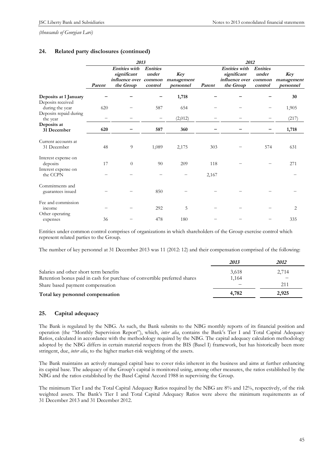# **24. Related party disclosures (continued)**

|                                                        | 2013   |                                                                           |                                     |                                | 2012   |                                                                           |                                     |                                |
|--------------------------------------------------------|--------|---------------------------------------------------------------------------|-------------------------------------|--------------------------------|--------|---------------------------------------------------------------------------|-------------------------------------|--------------------------------|
|                                                        | Parent | <b>Entities</b> with<br>significant<br>influence over common<br>the Group | <b>Entities</b><br>under<br>control | Key<br>management<br>personnel | Parent | <b>Entities</b> with<br>significant<br>influence over common<br>the Group | <b>Entities</b><br>under<br>control | Key<br>management<br>personnel |
| Deposits at 1 January<br>Deposits received             |        |                                                                           |                                     | 1,718                          |        |                                                                           |                                     | 30                             |
| during the year<br>Deposits repaid during              | 620    |                                                                           | 587                                 | 654<br>(2,012)                 |        |                                                                           |                                     | 1,905<br>(217)                 |
| the year<br>Deposits at<br>31 December                 | 620    |                                                                           | 587                                 | 360                            |        |                                                                           |                                     | 1,718                          |
| Current accounts at<br>31 December                     | 48     | 9                                                                         | 1,089                               | 2,175                          | 303    |                                                                           | 574                                 | 631                            |
| Interest expense on<br>deposits<br>Interest expense on | 17     | $\overline{0}$                                                            | 90                                  | 209                            | 118    |                                                                           |                                     | 271                            |
| the CCPN                                               |        |                                                                           |                                     |                                | 2,167  |                                                                           |                                     |                                |
| Commitments and<br>guarantees issued                   |        |                                                                           | 850                                 |                                |        |                                                                           |                                     |                                |
| Fee and commission<br>income<br>Other operating        |        |                                                                           | 292                                 | 5                              |        |                                                                           |                                     | 2                              |
| expenses                                               | 36     |                                                                           | 478                                 | 180                            |        |                                                                           |                                     | 335                            |

Entities under common control comprises of organizations in which shareholders of the Group exercise control which represent related parties to the Group.

The number of key personnel at 31 December 2013 was 11 (2012: 12) and their compensation comprised of the following:

|                                                                           | 2013  | 2012  |
|---------------------------------------------------------------------------|-------|-------|
| Salaries and other short term benefits                                    | 3,618 | 2,714 |
| Retention bonus paid in cash for purchase of convertible preferred shares | 1,164 |       |
| Share based payment compensation                                          |       | 211   |
| Total key personnel compensation                                          | 4,782 | 2.925 |

### **25. Capital adequacy**

The Bank is regulated by the NBG. As such, the Bank submits to the NBG monthly reports of its financial position and operation (the "Monthly Supervision Report"), which, *inter alia*, contains the Bank's Tier I and Total Capital Adequacy Ratios, calculated in accordance with the methodology required by the NBG. The capital adequacy calculation methodology adopted by the NBG differs in certain material respects from the BIS (Basel I) framework, but has historically been more stringent, due, *inter alia*, to the higher market-risk weighting of the assets.

The Bank maintains an actively managed capital base to cover risks inherent in the business and aims at further enhancing its capital base. The adequacy of the Group's capital is monitored using, among other measures, the ratios established by the NBG and the ratios established by the Basel Capital Accord 1988 in supervising the Group.

The minimum Tier I and the Total Capital Adequacy Ratios required by the NBG are 8% and 12%, respectively, of the risk weighted assets. The Bank's Tier I and Total Capital Adequacy Ratios were above the minimum requirements as of 31 December 2013 and 31 December 2012.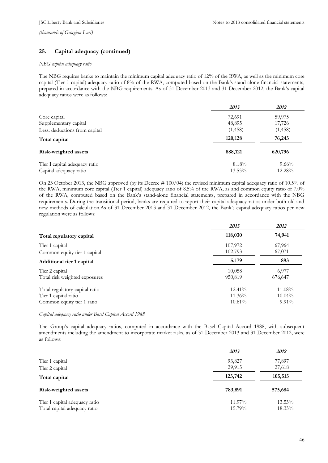# **25. Capital adequacy (continued)**

### *NBG capital adequacy ratio*

The NBG requires banks to maintain the minimum capital adequacy ratio of 12% of the RWA, as well as the minimum core capital (Tier 1 capital) adequacy ratio of 8% of the RWA, computed based on the Bank's stand-alone financial statements, prepared in accordance with the NBG requirements. As of 31 December 2013 and 31 December 2012, the Bank's capital adequacy ratios were as follows:

|                               | 2013     | 2012     |
|-------------------------------|----------|----------|
| Core capital                  | 72,691   | 59,975   |
| Supplementary capital         | 48,895   | 17,726   |
| Less: deductions from capital | (1, 458) | (1, 458) |
| Total capital                 | 120,128  | 76,243   |
| Risk-weighted assets          | 888,121  | 620,796  |
| Tier I capital adequacy ratio | 8.18%    | $9.66\%$ |
| Capital adequacy ratio        | 13.53%   | 12.28%   |

On 23 October 2013, the NBG approved (by its Decree # 100/04) the revised minimum capital adequacy ratio of 10.5% of the RWA, minimum core capital (Tier 1 capital) adequacy ratio of 8.5% of the RWA, as and common equity ratio of 7.0% of the RWA, computed based on the Bank's stand-alone financial statements, prepared in accordance with the NBG requirements. During the transitional period, banks are required to report their capital adequacy ratios under both old and new methods of calculation.As of 31 December 2013 and 31 December 2012, the Bank's capital adequacy ratios per new regulation were as follows:

|                                | 2013      | 2012      |
|--------------------------------|-----------|-----------|
| Total regulatory capital       | 118,030   | 74,941    |
| Tier 1 capital                 | 107,972   | 67,964    |
| Common equity tier 1 capital   | 102,793   | 67,071    |
| Additional tier 1 capital      | 5,179     | 893       |
| Tier 2 capital                 | 10,058    | 6,977     |
| Total risk weighted exposures  | 950,819   | 676,647   |
| Total regulatory capital ratio | $12.41\%$ | 11.08%    |
| Tier 1 capital ratio           | $11.36\%$ | $10.04\%$ |
| Common equity tier 1 ratio     | 10.81%    | $9.91\%$  |

#### *Capital adequacy ratio under Basel Capital Accord 1988*

The Group's capital adequacy ratios, computed in accordance with the Basel Capital Accord 1988, with subsequent amendments including the amendment to incorporate market risks, as of 31 December 2013 and 31 December 2012, were as follows:

|                               | 2013    | 2012      |
|-------------------------------|---------|-----------|
| Tier 1 capital                | 93,827  | 77,897    |
| Tier 2 capital                | 29,915  | 27,618    |
| Total capital                 | 123,742 | 105,515   |
| Risk-weighted assets          | 783,891 | 575,684   |
| Tier 1 capital adequacy ratio | 11.97%  | $13.53\%$ |
| Total capital adequacy ratio  | 15.79%  | 18.33%    |